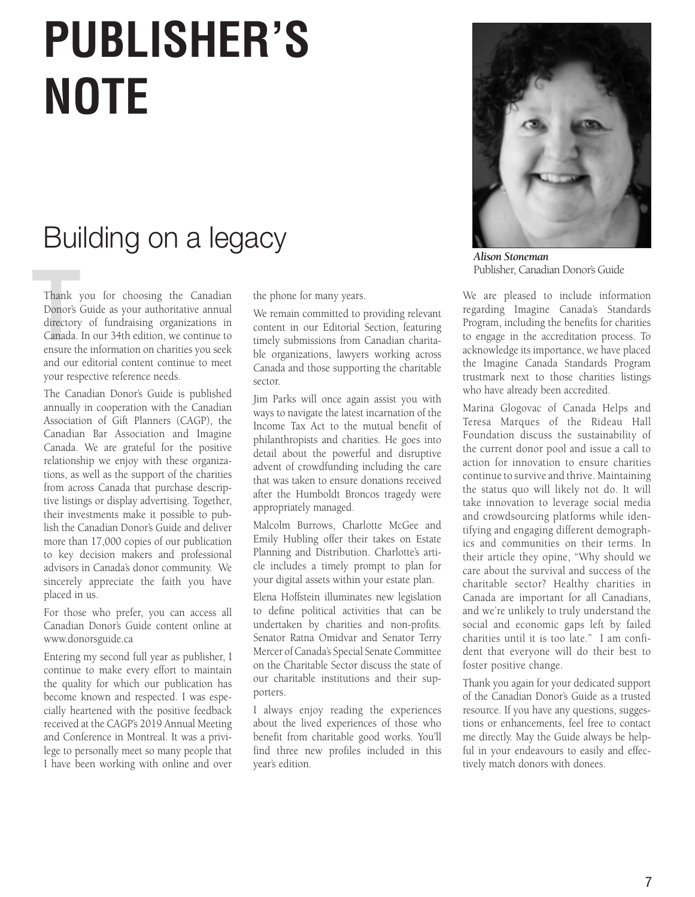## **PUBLISHER'S NOTE**

### Building on a legacy

Thank<br>Donor's<br>directory<br>Canada.<br>ensure th Thank you for choosing the Canadian Donor's Guide as your authoritative annual directory of fundraising organizations in Canada. In our 34th edition, we continue to ensure the information on charities you seek and our editorial content continue to meet your respective reference needs.

The Canadian Donor's Guide is published annually in cooperation with the Canadian Association of Gift Planners (CAGP), the Canadian Bar Association and Imagine Canada. We are grateful for the positive relationship we enjoy with these organizations, as well as the support of the charities from across Canada that purchase descriptive listings or display advertising. Together, their investments make it possible to publish the Canadian Donor's Guide and deliver more than 17,000 copies of our publication to key decision makers and professional advisors in Canada's donor community. We sincerely appreciate the faith you have placed in us.

For those who prefer, you can access all Canadian Donor's Guide content online at www.donorsguide.ca

Entering my second full year as publisher, I continue to make every effort to maintain the quality for which our publication has become known and respected. I was especially heartened with the positive feedback received at the CAGP's 2019 Annual Meeting and Conference in Montreal. It was a privilege to personally meet so many people that I have been working with online and over the phone for many years.

We remain committed to providing relevant content in our Editorial Section, featuring timely submissions from Canadian charitable organizations, lawyers working across Canada and those supporting the charitable sector.

Jim Parks will once again assist you with ways to navigate the latest incarnation of the Income Tax Act to the mutual benefit of philanthropists and charities. He goes into detail about the powerful and disruptive advent of crowdfunding including the care that was taken to ensure donations received after the Humboldt Broncos tragedy were appropriately managed.

Malcolm Burrows, Charlotte McGee and Emily Hubling offer their takes on Estate Planning and Distribution. Charlotte's article includes a timely prompt to plan for your digital assets within your estate plan.

Elena Hoffstein illuminates new legislation to define political activities that can be undertaken by charities and non-profits. Senator Ratna Omidvar and Senator Terry Mercer of Canada's Special Senate Committee on the Charitable Sector discuss the state of our charitable institutions and their supporters.

I always enjoy reading the experiences about the lived experiences of those who benefit from charitable good works. You'll find three new profiles included in this year's edition.



*Alison Stoneman* Publisher, Canadian Donor's Guide

We are pleased to include information regarding Imagine Canada's Standards Program, including the benefits for charities to engage in the accreditation process. To acknowledge its importance, we have placed the Imagine Canada Standards Program trustmark next to those charities listings who have already been accredited.

Marina Glogovac of Canada Helps and Teresa Marques of the Rideau Hall Foundation discuss the sustainability of the current donor pool and issue a call to action for innovation to ensure charities continue to survive and thrive. Maintaining the status quo will likely not do. It will take innovation to leverage social media and crowdsourcing platforms while identifying and engaging different demographics and communities on their terms. In their article they opine, "Why should we care about the survival and success of the charitable sector? Healthy charities in Canada are important for all Canadians, and we're unlikely to truly understand the social and economic gaps left by failed charities until it is too late." I am confident that everyone will do their best to foster positive change.

Thank you again for your dedicated support of the Canadian Donor's Guide as a trusted resource. If you have any questions, suggestions or enhancements, feel free to contact me directly. May the Guide always be helpful in your endeavours to easily and effectively match donors with donees.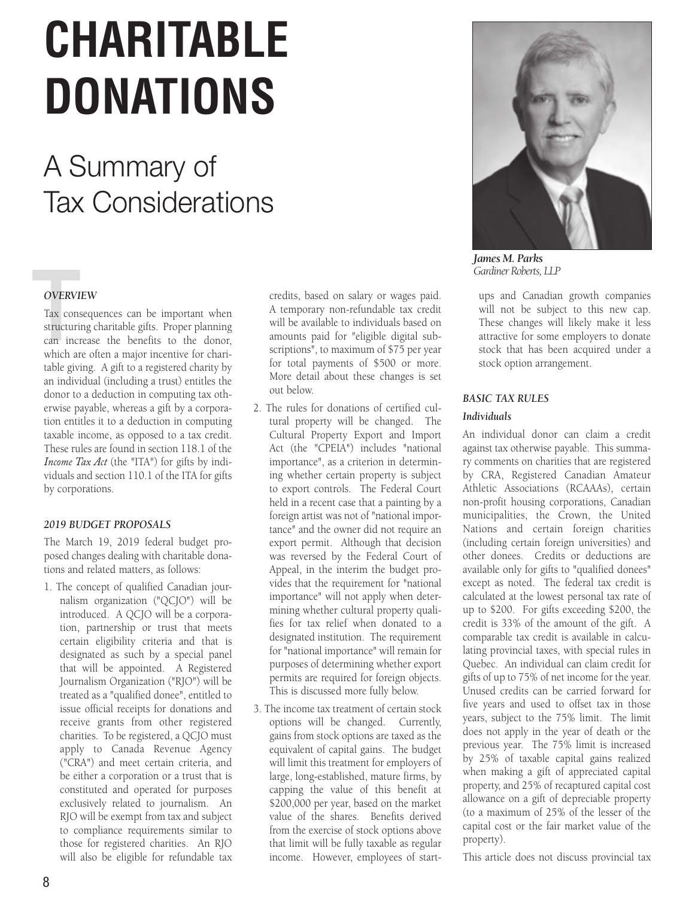# **CHARITABLE<br>
<b>DONATIONS**<br>
A Summary of<br>
Tax Considerations **DONATIONS DONATIONS** DONATIONS

## A Summary of Tax Considerations

#### *OVERVIEW OVERVIEW OVERVIEW OVERVIEW*

**OVERVI**<br>Tax cons<br>structuri<br>can incr Tax consequences can be important when Tax consequences can be important when<br>structuring charitable gifts. Proper planning can increase the benefits to the donor, can increase the benefits to the donor,<br>which are often a major incentive for charitable giving. A gift to a registered charity by table giving. A gift to a registered charity by for charitable giving. A gift to a registered table giving. A gift to a registered charity by table giving. A gift to a registered charity by<br>an individual (including a trust) entitles the an individual (including a trust) entitles the<br>donor to a deduction in computing tax otherwise payable, whereas a gift by a corpora-erwise payable, whereas a gift by a corpora-puting tax otherwise payable, whereas a erwise payable, whereas a gift by a corpora-donor to a deduction in computing tax othtion entitles it to a deduction in computing taxable income, as opposed to a tax credit. taxable income, as opposed to a tax credit. tion in computing taxable income, as taxable income, as opposed to a tax credit. tion entitles it to a deduction in computing These rules are found in section 118.1 of the Income Tax Act (the "ITA") for gifts by individuals and section 110.1 of the ITA for gifts by corporations. **OVERVI**<br>Tax cons<br>structurin<br>can incr<br>which are Iax consequences can be important when **OVERVI**<br>Tax cons<br>structuri<br>can incr<br>which are c consequences can be important when  $\mathcal{L}$ 

#### *2019 BUDGET PROPOSALS 2018 BUDGET PROPOSALS 2016 BUDGET PROPOSALS*

The March 19, 2019 federal budget proposed changes dealing with charitable donations and related matters, as follows:

1. The concept of qualified Canadian journalism organization ("QCJO") will be nalism organization ("QCJO") will be<br>introduced. A QCJO will be a corporamitodacta. *I*f  $Qc_1C$  will be a corporation, partnership or trust that meets tion, partnersinp or trust that meets<br>certain eligibility criteria and that is designated as such by a special panel municipalities as extenses by a operator proceed that will be appointed. A Registered Journalism Organization ("RJO") will be  $\frac{1}{2}$  treated as a "qualified donee", entitled to done in a partnership will be listed in a partnership of  $\alpha$ receive grants from other registered receive grains nonr omer registered charities. To be registered, a QCJO must enarities. To be registered, a QCJO must<br>apply to Canada Revenue Agency apply to canada Revende ligency. of Grand and meet eenam enteria, and be either a corporation or a trust that is be either a corporation or a trust that is<br>constituted and operated for purposes exclusively related to journalism. An exclusively related to journalism. An<br>RJO will be exempt from tax and subject to compliance requirements similar to to compliance requirements similar to<br>those for registered charities. An RJO to compliance requirements similar to<br>those for registered charities. An RJO<br>will also be eligible for refundable tax 1. The concept of qualified Canadian jour tion, partnership or trust that meets certain eligibility criteria and that is realed as a quanned donce, entitied to issue official receipts for domations and

credits, based on salary or wages paid. credits, based on salary or wages paid.<br>A temporary non-refundable tax credit will be available to individuals based on will be available to individuals based on<br>amounts paid for "eligible digital subscriptions", to maximum of \$75 per year for total payments of \$500 or more. More detail about these changes is set out below. scriptions", to maximum of \$75 per year<br>for total payments of \$500 or more. more detail about these changes is set out below. entities to go to more. of the interest that we have been the interest in the set  $\frac{1}{\sqrt{2}}$ 

- 2. The rules for donations of certified culexterned to the rates for donarions of certained early cultural Property will be enanged. The Cultural Property Export and Import Act (the "CPEIA") includes "national *BACIC TELA P* Includes *Hational* importance", as a criterion in determining whether certain property is subject to export controls. The Federal Court to export controls. The Federal Court<br>held in a recent case that a painting by a foreign artist was not of "national importance" and the owner did not require an export permit. Although that decision was reversed by the Federal Court of Appeal, in the interim the budget provides that the requirement for "national importance" will not apply when determiportance with not apply when deter-<br>mining whether cultural property qualimining whether cultural property quanties for tax relief when donated to a nes for tax refler when donated to a<br>designated institution. The requirement for "national importance" will remain for purposes of determining whether export permits are required for foreign objects. This is discussed more fully below. Cultural Property Export and Import ACI (the "CPEIA") includes frational the requirement for "national importance" will remain for<br>for "national importance" will remain for For national importance will remain for purposes or actermining whether export  $\frac{1}{\pi}$  for  $\frac{1}{\pi}$  for  $\frac{1}{\pi}$  for  $\frac{1}{\pi}$  in  $\frac{1}{\pi}$  for  $\frac{1}{\pi}$  in  $\frac{1}{\pi}$  in  $\frac{1}{\pi}$  in  $\frac{1}{\pi}$  in  $\frac{1}{\pi}$  in  $\frac{1}{\pi}$  in  $\frac{1}{\pi}$  in  $\frac{1}{\pi}$  in  $\frac{1}{\pi}$  in  $\frac{1}{\pi}$  in  $\frac{1}{\$ he rules for donations of certified cul- $\alpha$ Cellic Cleid and includes halfonal mportance, as a chienon in determining will be certain property to subject  $\frac{1}{3}$ . The rules to track the rules that  $\frac{1}{3}$ purposes of accertaining whence export nizations that are not need to be a
- 3. The income tax treatment of certain stock options will be changed. Currently, gains from stock options are taxed as the equivalent of capital gains. The budget equivalent of capital gains. The budget<br>will limit this treatment for employers of large, long-established, mature firms, by range, ong established, mature in the, by capping the value of this benefit at \$200,000 per year, based on the market value of the shares. Benefits derived from the exercise of stock options above that limit will be fully taxable as regular from the exercise of stock options above<br>that limit will be fully taxable as regular<br>income. However, employees of startcredit is available in calculating provincial 3. The income tax treatment of certain stock  $\frac{1}{2}$  $\frac{1}{2}$  income tax treatment of certain stock



*James M. Parks Gardiner Roberts, LLP*

ups and Canadian growth companies ups and Canadian growth companies<br>will not be subject to this new cap. These changes will likely make it less attractive for some employers to donate stock that has been acquired under a stock option arrangement.

#### **BASIC TAX RULES** by 25% of the capital gains realized capital gains realized capital gains realized capital gains realized capital gains of the contract of the contract of the contract of the contract of the contract of the contract of the BASIC TAX RULES

#### *Individuals*

an individual donor can claim a credit *An murvidual donor* can claim a credit<br>against tax otherwise payable. This summary comments on charities that are registered by CRA, Registered Canadian Amateur Athletic Associations (RCAAAs), certain non-profit housing corporations, Canadian non-profit housing corporations, Canadian municipalities, the Crown, the United Nations and certain foreign charities<br>(including certain foreign universities) and marginal resolution of the province of the provinces or territorium of the provinces of the provinces of the proportional resolution of the proportional rate of depreciable proportional rate on a gift of depreciable propor other donees. Credits or deductions are available only for gifts to "qualified donees" except as noted. The federal tax credit is except as noted. The federal day effects is<br>calculated at the lowest personal tax rate of executative at the lowest personal tax rate of up to \$200. For gifts exceeding \$200, the up to \$200. For gifts exceeding \$200, the credit is 33% of the amount of the gift. A comparable tax credit is available in calculating provincial taxes, with special rules in Quebec. An individual can claim credit for lating provincial taxes, with special rules in Quebec. An individual can claim credit for The donor ("testator") states in a will that on *Corporations Corporations* gifts of up to 75% of net income for the year. Unused credits can be carried forward for Fights of up to 75% of net income for the year.<br>Unused credits can be carried forward for<br>five years and used to offset tax in those years, subject to the 75% limit. The limit does not apply in the year of death or the previous year. The 75% limit is increased years, subject to the 75% limit. The limit<br>does not apply in the year of death or the<br>previous year. The 75% limit is increased<br>by 25% of taxable capital gains realized when making a gift of appreciated capital property, and 25% of recaptured capital cost when making a gift of appreciated capital<br>property, and 25% of recaptured capital cost<br>allowance on a gift of depreciable property anowance on a gift of depleciable property<br>(to a maximum of 25% of the lesser of the co a maximum of  $25%$  or the resset of the capital cost or the fair market value of the property). (*to* a maximum of 25% of the lesser of the capital cost or the fair market value of the calculated at the lowest personal tax rate of up to \$200. For gifts exceeding \$200, the cecilis, based on salary or ways paid. ups and Caradian growth companies will be available to individuals based on the subsect of the more capied will be available to individual based on These changes will likely make it against tax utherwise payable. This summacomments of enances that are registered of the year. Unusually indicate  $T(\text{Pct}(y))$ .

property).<br>This article does not discuss provincial tax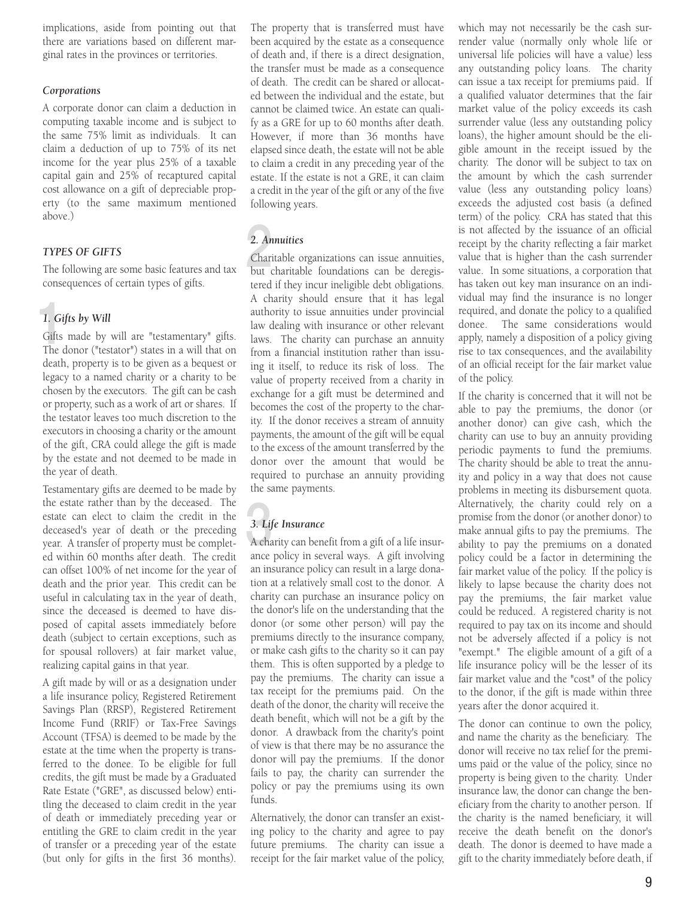implications, aside from pointing out that there are variations based on different marginal rates in the provinces or territories.

#### *Corporations*

A corporate donor can claim a deduction in computing taxable income and is subject to the same 75% limit as individuals. It can claim a deduction of up to 75% of its net income for the year plus 25% of a taxable capital gain and 25% of recaptured capital cost allowance on a gift of depreciable property (to the same maximum mentioned above.)

#### *TYPES OF GIFTS*

The following are some basic features and tax consequences of certain types of gifts.

#### *1. Gifts by Will*

1. Gi<br>Gifts<br>The c Gifts made by will are "testamentary" gifts. The donor ("testator") states in a will that on death, property is to be given as a bequest or legacy to a named charity or a charity to be chosen by the executors. The gift can be cash or property, such as a work of art or shares. If the testator leaves too much discretion to the executors in choosing a charity or the amount of the gift, CRA could allege the gift is made by the estate and not deemed to be made in the year of death.

Testamentary gifts are deemed to be made by the estate rather than by the deceased. The estate can elect to claim the credit in the deceased's year of death or the preceding year. A transfer of property must be completed within 60 months after death. The credit can offset 100% of net income for the year of death and the prior year. This credit can be useful in calculating tax in the year of death, since the deceased is deemed to have disposed of capital assets immediately before death (subject to certain exceptions, such as for spousal rollovers) at fair market value, realizing capital gains in that year.

A gift made by will or as a designation under a life insurance policy, Registered Retirement Savings Plan (RRSP), Registered Retirement Income Fund (RRIF) or Tax-Free Savings Account (TFSA) is deemed to be made by the estate at the time when the property is transferred to the donee. To be eligible for full credits, the gift must be made by a Graduated Rate Estate ("GRE", as discussed below) entitling the deceased to claim credit in the year of death or immediately preceding year or entitling the GRE to claim credit in the year of transfer or a preceding year of the estate (but only for gifts in the first 36 months).

The property that is transferred must have been acquired by the estate as a consequence of death and, if there is a direct designation, the transfer must be made as a consequence of death. The credit can be shared or allocated between the individual and the estate, but cannot be claimed twice. An estate can qualify as a GRE for up to 60 months after death. However, if more than 36 months have elapsed since death, the estate will not be able to claim a credit in any preceding year of the estate. If the estate is not a GRE, it can claim a credit in the year of the gift or any of the five following years.

#### *2. Annuities*

 $2. An  
Chari  
but$ Charitable organizations can issue annuities, but charitable foundations can be deregistered if they incur ineligible debt obligations. A charity should ensure that it has legal authority to issue annuities under provincial law dealing with insurance or other relevant laws. The charity can purchase an annuity from a financial institution rather than issuing it itself, to reduce its risk of loss. The value of property received from a charity in exchange for a gift must be determined and becomes the cost of the property to the charity. If the donor receives a stream of annuity payments, the amount of the gift will be equal to the excess of the amount transferred by the donor over the amount that would be required to purchase an annuity providing the same payments.

#### *3. Life Insurance*

3 A charity can benefit from a gift of a life insurance policy in several ways. A gift involving an insurance policy can result in a large donation at a relatively small cost to the donor. A charity can purchase an insurance policy on the donor's life on the understanding that the donor (or some other person) will pay the premiums directly to the insurance company, or make cash gifts to the charity so it can pay them. This is often supported by a pledge to pay the premiums. The charity can issue a tax receipt for the premiums paid. On the death of the donor, the charity will receive the death benefit, which will not be a gift by the donor. A drawback from the charity's point of view is that there may be no assurance the donor will pay the premiums. If the donor fails to pay, the charity can surrender the policy or pay the premiums using its own funds.

Alternatively, the donor can transfer an existing policy to the charity and agree to pay future premiums. The charity can issue a receipt for the fair market value of the policy,

which may not necessarily be the cash surrender value (normally only whole life or universal life policies will have a value) less any outstanding policy loans. The charity can issue a tax receipt for premiums paid. If a qualified valuator determines that the fair market value of the policy exceeds its cash surrender value (less any outstanding policy loans), the higher amount should be the eligible amount in the receipt issued by the charity. The donor will be subject to tax on the amount by which the cash surrender value (less any outstanding policy loans) exceeds the adjusted cost basis (a defined term) of the policy. CRA has stated that this is not affected by the issuance of an official receipt by the charity reflecting a fair market value that is higher than the cash surrender value. In some situations, a corporation that has taken out key man insurance on an individual may find the insurance is no longer required, and donate the policy to a qualified donee. The same considerations would apply, namely a disposition of a policy giving rise to tax consequences, and the availability of an official receipt for the fair market value of the policy.

If the charity is concerned that it will not be able to pay the premiums, the donor (or another donor) can give cash, which the charity can use to buy an annuity providing periodic payments to fund the premiums. The charity should be able to treat the annuity and policy in a way that does not cause problems in meeting its disbursement quota. Alternatively, the charity could rely on a promise from the donor (or another donor) to make annual gifts to pay the premiums. The ability to pay the premiums on a donated policy could be a factor in determining the fair market value of the policy. If the policy is likely to lapse because the charity does not pay the premiums, the fair market value could be reduced. A registered charity is not required to pay tax on its income and should not be adversely affected if a policy is not "exempt." The eligible amount of a gift of a life insurance policy will be the lesser of its fair market value and the "cost" of the policy to the donor, if the gift is made within three years after the donor acquired it.

The donor can continue to own the policy, and name the charity as the beneficiary. The donor will receive no tax relief for the premiums paid or the value of the policy, since no property is being given to the charity. Under insurance law, the donor can change the beneficiary from the charity to another person. If the charity is the named beneficiary, it will receive the death benefit on the donor's death. The donor is deemed to have made a gift to the charity immediately before death, if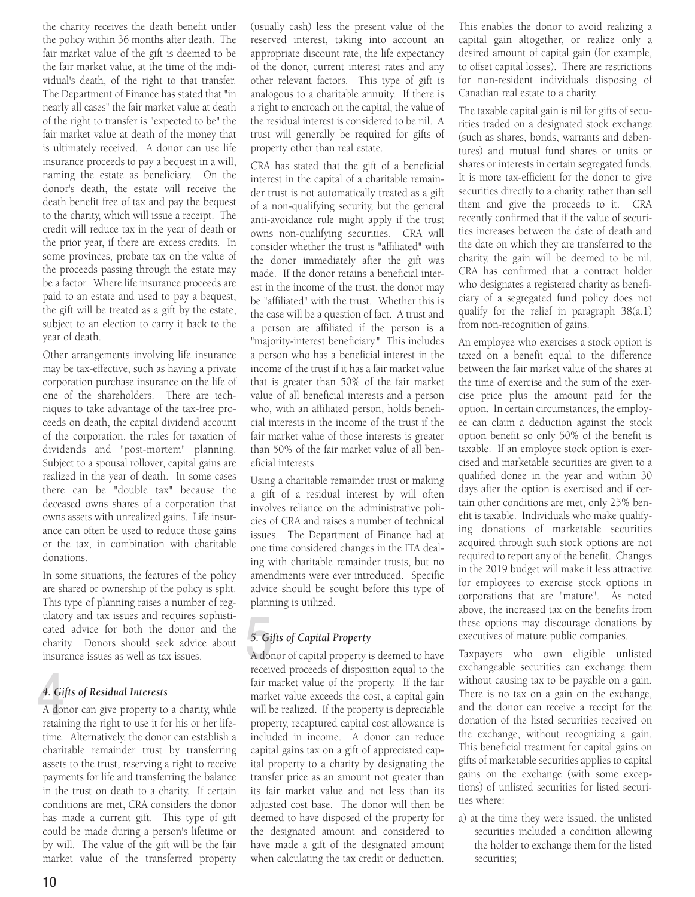the charity receives the death benefit under the policy within 36 months after death. The fair market value of the gift is deemed to be the fair market value, at the time of the individual's death, of the right to that transfer. The Department of Finance has stated that "in nearly all cases" the fair market value at death of the right to transfer is "expected to be" the fair market value at death of the money that is ultimately received. A donor can use life insurance proceeds to pay a bequest in a will, naming the estate as beneficiary. On the donor's death, the estate will receive the death benefit free of tax and pay the bequest to the charity, which will issue a receipt. The credit will reduce tax in the year of death or the prior year, if there are excess credits. In some provinces, probate tax on the value of the proceeds passing through the estate may be a factor. Where life insurance proceeds are paid to an estate and used to pay a bequest, the gift will be treated as a gift by the estate, subject to an election to carry it back to the year of death.

Other arrangements involving life insurance may be tax-effective, such as having a private corporation purchase insurance on the life of one of the shareholders. There are techniques to take advantage of the tax-free proceeds on death, the capital dividend account of the corporation, the rules for taxation of dividends and "post-mortem" planning. Subject to a spousal rollover, capital gains are realized in the year of death. In some cases there can be "double tax" because the deceased owns shares of a corporation that owns assets with unrealized gains. Life insurance can often be used to reduce those gains or the tax, in combination with charitable donations.

In some situations, the features of the policy are shared or ownership of the policy is split. This type of planning raises a number of regulatory and tax issues and requires sophisticated advice for both the donor and the charity. Donors should seek advice about insurance issues as well as tax issues.

#### *4. Gifts of Residual Interests*

 $\frac{4.6i}{4.6i}$ A donor can give property to a charity, while retaining the right to use it for his or her lifetime. Alternatively, the donor can establish a charitable remainder trust by transferring assets to the trust, reserving a right to receive payments for life and transferring the balance in the trust on death to a charity. If certain conditions are met, CRA considers the donor has made a current gift. This type of gift could be made during a person's lifetime or by will. The value of the gift will be the fair market value of the transferred property

(usually cash) less the present value of the reserved interest, taking into account an appropriate discount rate, the life expectancy of the donor, current interest rates and any other relevant factors. This type of gift is analogous to a charitable annuity. If there is a right to encroach on the capital, the value of the residual interest is considered to be nil. A trust will generally be required for gifts of property other than real estate.

CRA has stated that the gift of a beneficial interest in the capital of a charitable remainder trust is not automatically treated as a gift of a non-qualifying security, but the general anti-avoidance rule might apply if the trust owns non-qualifying securities. CRA will consider whether the trust is "affiliated" with the donor immediately after the gift was made. If the donor retains a beneficial interest in the income of the trust, the donor may be "affiliated" with the trust. Whether this is the case will be a question of fact. A trust and a person are affiliated if the person is a "majority-interest beneficiary." This includes a person who has a beneficial interest in the income of the trust if it has a fair market value that is greater than 50% of the fair market value of all beneficial interests and a person who, with an affiliated person, holds beneficial interests in the income of the trust if the fair market value of those interests is greater than 50% of the fair market value of all beneficial interests.

Using a charitable remainder trust or making a gift of a residual interest by will often involves reliance on the administrative policies of CRA and raises a number of technical issues. The Department of Finance had at one time considered changes in the ITA dealing with charitable remainder trusts, but no amendments were ever introduced. Specific advice should be sought before this type of planning is utilized.

#### *5. Gifts of Capital Property*

 $5. Gi$ <br>A doi A donor of capital property is deemed to have received proceeds of disposition equal to the fair market value of the property. If the fair market value exceeds the cost, a capital gain will be realized. If the property is depreciable property, recaptured capital cost allowance is included in income. A donor can reduce capital gains tax on a gift of appreciated capital property to a charity by designating the transfer price as an amount not greater than its fair market value and not less than its adjusted cost base. The donor will then be deemed to have disposed of the property for the designated amount and considered to have made a gift of the designated amount when calculating the tax credit or deduction.

This enables the donor to avoid realizing a capital gain altogether, or realize only a desired amount of capital gain (for example, to offset capital losses). There are restrictions for non-resident individuals disposing of Canadian real estate to a charity.

The taxable capital gain is nil for gifts of securities traded on a designated stock exchange (such as shares, bonds, warrants and debentures) and mutual fund shares or units or shares or interests in certain segregated funds. It is more tax-efficient for the donor to give securities directly to a charity, rather than sell them and give the proceeds to it. CRA recently confirmed that if the value of securities increases between the date of death and the date on which they are transferred to the charity, the gain will be deemed to be nil. CRA has confirmed that a contract holder who designates a registered charity as beneficiary of a segregated fund policy does not qualify for the relief in paragraph 38(a.1) from non-recognition of gains.

An employee who exercises a stock option is taxed on a benefit equal to the difference between the fair market value of the shares at the time of exercise and the sum of the exercise price plus the amount paid for the option. In certain circumstances, the employee can claim a deduction against the stock option benefit so only 50% of the benefit is taxable. If an employee stock option is exercised and marketable securities are given to a qualified donee in the year and within 30 days after the option is exercised and if certain other conditions are met, only 25% benefit is taxable. Individuals who make qualifying donations of marketable securities acquired through such stock options are not required to report any of the benefit. Changes in the 2019 budget will make it less attractive for employees to exercise stock options in corporations that are "mature". As noted above, the increased tax on the benefits from these options may discourage donations by executives of mature public companies.

Taxpayers who own eligible unlisted exchangeable securities can exchange them without causing tax to be payable on a gain. There is no tax on a gain on the exchange, and the donor can receive a receipt for the donation of the listed securities received on the exchange, without recognizing a gain. This beneficial treatment for capital gains on gifts of marketable securities applies to capital gains on the exchange (with some exceptions) of unlisted securities for listed securities where:

a) at the time they were issued, the unlisted securities included a condition allowing the holder to exchange them for the listed securities;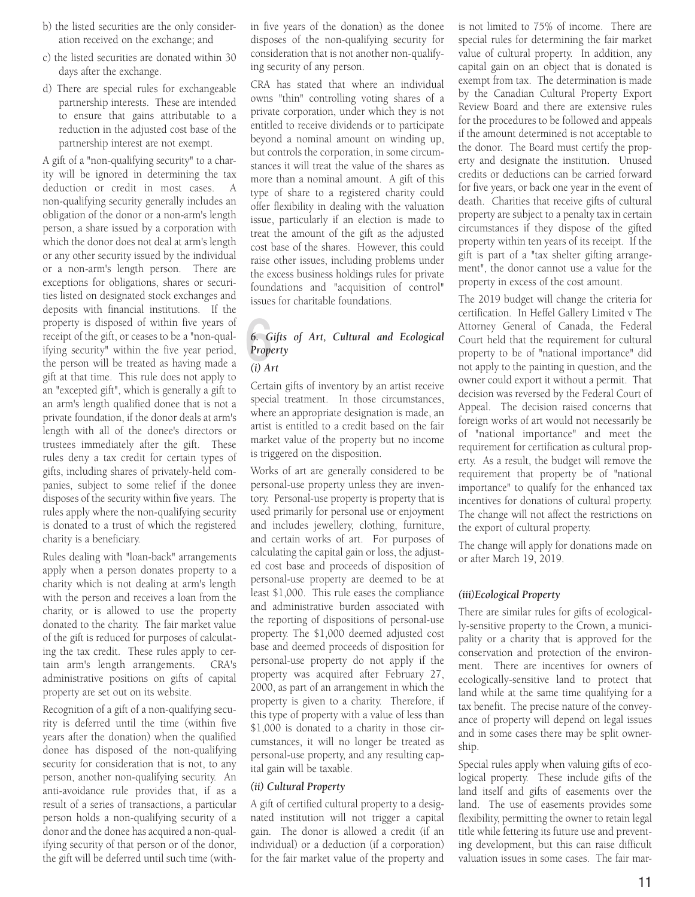- b) the listed securities are the only consideration received on the exchange; and
- c) the listed securities are donated within 30 days after the exchange.
- d) There are special rules for exchangeable partnership interests. These are intended to ensure that gains attributable to a reduction in the adjusted cost base of the partnership interest are not exempt.

A gift of a "non-qualifying security" to a charity will be ignored in determining the tax deduction or credit in most cases. non-qualifying security generally includes an obligation of the donor or a non-arm's length person, a share issued by a corporation with which the donor does not deal at arm's length or any other security issued by the individual or a non-arm's length person. There are exceptions for obligations, shares or securities listed on designated stock exchanges and deposits with financial institutions. If the property is disposed of within five years of receipt of the gift, or ceases to be a "non-qualifying security" within the five year period, the person will be treated as having made a gift at that time. This rule does not apply to an "excepted gift", which is generally a gift to an arm's length qualified donee that is not a private foundation, if the donor deals at arm's length with all of the donee's directors or trustees immediately after the gift. These rules deny a tax credit for certain types of gifts, including shares of privately-held companies, subject to some relief if the donee disposes of the security within five years. The rules apply where the non-qualifying security is donated to a trust of which the registered charity is a beneficiary.

Rules dealing with "loan-back" arrangements apply when a person donates property to a charity which is not dealing at arm's length with the person and receives a loan from the charity, or is allowed to use the property donated to the charity. The fair market value of the gift is reduced for purposes of calculating the tax credit. These rules apply to certain arm's length arrangements. CRA's administrative positions on gifts of capital property are set out on its website.

Recognition of a gift of a non-qualifying security is deferred until the time (within five years after the donation) when the qualified donee has disposed of the non-qualifying security for consideration that is not, to any person, another non-qualifying security. An anti-avoidance rule provides that, if as a result of a series of transactions, a particular person holds a non-qualifying security of a donor and the donee has acquired a non-qualifying security of that person or of the donor, the gift will be deferred until such time (within five years of the donation) as the donee disposes of the non-qualifying security for consideration that is not another non-qualifying security of any person.

CRA has stated that where an individual owns "thin" controlling voting shares of a private corporation, under which they is not entitled to receive dividends or to participate beyond a nominal amount on winding up, but controls the corporation, in some circumstances it will treat the value of the shares as more than a nominal amount. A gift of this type of share to a registered charity could offer flexibility in dealing with the valuation issue, particularly if an election is made to treat the amount of the gift as the adjusted cost base of the shares. However, this could raise other issues, including problems under the excess business holdings rules for private foundations and "acquisition of control" issues for charitable foundations.

#### 6.  $\overline{G}$ <br>Prope *6. Gifts of Art, Cultural and Ecological Property*

*(i) Art*

Certain gifts of inventory by an artist receive special treatment. In those circumstances, where an appropriate designation is made, an artist is entitled to a credit based on the fair market value of the property but no income is triggered on the disposition.

Works of art are generally considered to be personal-use property unless they are inventory. Personal-use property is property that is used primarily for personal use or enjoyment and includes jewellery, clothing, furniture, and certain works of art. For purposes of calculating the capital gain or loss, the adjusted cost base and proceeds of disposition of personal-use property are deemed to be at least \$1,000. This rule eases the compliance and administrative burden associated with the reporting of dispositions of personal-use property. The \$1,000 deemed adjusted cost base and deemed proceeds of disposition for personal-use property do not apply if the property was acquired after February 27, 2000, as part of an arrangement in which the property is given to a charity. Therefore, if this type of property with a value of less than \$1,000 is donated to a charity in those circumstances, it will no longer be treated as personal-use property, and any resulting capital gain will be taxable.

#### *(ii) Cultural Property*

A gift of certified cultural property to a designated institution will not trigger a capital gain. The donor is allowed a credit (if an individual) or a deduction (if a corporation) for the fair market value of the property and

is not limited to 75% of income. There are special rules for determining the fair market value of cultural property. In addition, any capital gain on an object that is donated is exempt from tax. The determination is made by the Canadian Cultural Property Export Review Board and there are extensive rules for the procedures to be followed and appeals if the amount determined is not acceptable to the donor. The Board must certify the property and designate the institution. Unused credits or deductions can be carried forward for five years, or back one year in the event of death. Charities that receive gifts of cultural property are subject to a penalty tax in certain circumstances if they dispose of the gifted property within ten years of its receipt. If the gift is part of a "tax shelter gifting arrangement", the donor cannot use a value for the property in excess of the cost amount.

The 2019 budget will change the criteria for certification. In Heffel Gallery Limited v The Attorney General of Canada, the Federal Court held that the requirement for cultural property to be of "national importance" did not apply to the painting in question, and the owner could export it without a permit. That decision was reversed by the Federal Court of Appeal. The decision raised concerns that foreign works of art would not necessarily be of "national importance" and meet the requirement for certification as cultural property. As a result, the budget will remove the requirement that property be of "national importance" to qualify for the enhanced tax incentives for donations of cultural property. The change will not affect the restrictions on the export of cultural property.

The change will apply for donations made on or after March 19, 2019.

#### *(iii)Ecological Property*

There are similar rules for gifts of ecologically-sensitive property to the Crown, a municipality or a charity that is approved for the conservation and protection of the environment. There are incentives for owners of ecologically-sensitive land to protect that land while at the same time qualifying for a tax benefit. The precise nature of the conveyance of property will depend on legal issues and in some cases there may be split ownership.

Special rules apply when valuing gifts of ecological property. These include gifts of the land itself and gifts of easements over the land. The use of easements provides some flexibility, permitting the owner to retain legal title while fettering its future use and preventing development, but this can raise difficult valuation issues in some cases. The fair mar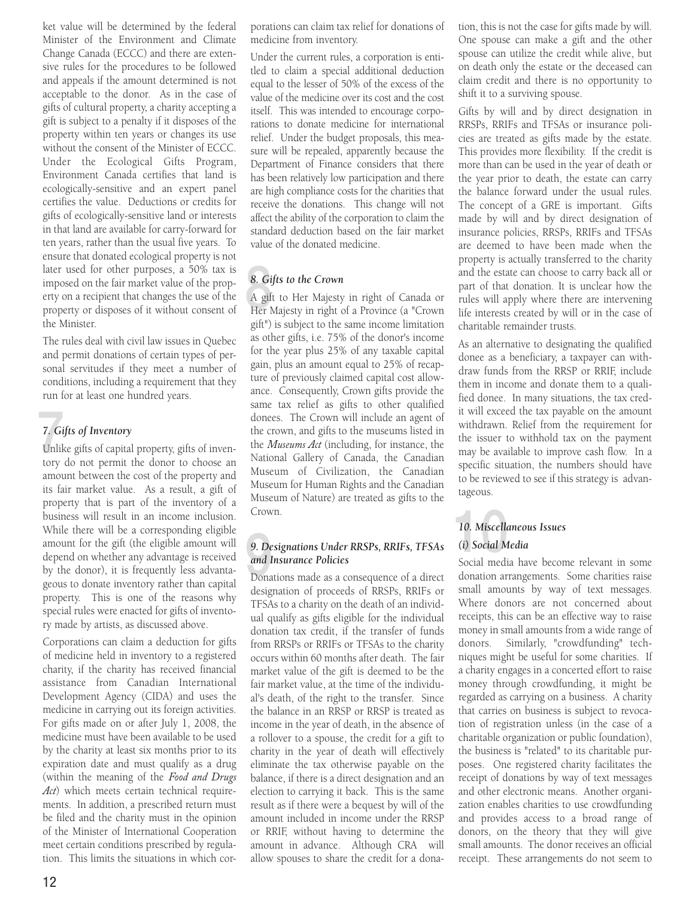ket value will be determined by the federal Minister of the Environment and Climate Change Canada (ECCC) and there are extensive rules for the procedures to be followed and appeals if the amount determined is not acceptable to the donor. As in the case of gifts of cultural property, a charity accepting a gift is subject to a penalty if it disposes of the property within ten years or changes its use without the consent of the Minister of ECCC. Under the Ecological Gifts Program, Environment Canada certifies that land is ecologically-sensitive and an expert panel certifies the value. Deductions or credits for gifts of ecologically-sensitive land or interests in that land are available for carry-forward for ten years, rather than the usual five years. To ensure that donated ecological property is not later used for other purposes, a 50% tax is imposed on the fair market value of the property on a recipient that changes the use of the property or disposes of it without consent of the Minister.

The rules deal with civil law issues in Quebec and permit donations of certain types of personal servitudes if they meet a number of conditions, including a requirement that they run for at least one hundred years.

#### *7. Gifts of Inventory*

 $\frac{7}{10}$ <br>Unlike Unlike gifts of capital property, gifts of inventory do not permit the donor to choose an amount between the cost of the property and its fair market value. As a result, a gift of property that is part of the inventory of a business will result in an income inclusion. While there will be a corresponding eligible amount for the gift (the eligible amount will depend on whether any advantage is received by the donor), it is frequently less advantageous to donate inventory rather than capital property. This is one of the reasons why special rules were enacted for gifts of inventory made by artists, as discussed above.

Corporations can claim a deduction for gifts of medicine held in inventory to a registered charity, if the charity has received financial assistance from Canadian International Development Agency (CIDA) and uses the medicine in carrying out its foreign activities. For gifts made on or after July 1, 2008, the medicine must have been available to be used by the charity at least six months prior to its expiration date and must qualify as a drug (within the meaning of the *Food and Drugs Act*) which meets certain technical requirements. In addition, a prescribed return must be filed and the charity must in the opinion of the Minister of International Cooperation meet certain conditions prescribed by regulation. This limits the situations in which corporations can claim tax relief for donations of medicine from inventory.

Under the current rules, a corporation is entitled to claim a special additional deduction equal to the lesser of 50% of the excess of the value of the medicine over its cost and the cost itself. This was intended to encourage corporations to donate medicine for international relief. Under the budget proposals, this measure will be repealed, apparently because the Department of Finance considers that there has been relatively low participation and there are high compliance costs for the charities that receive the donations. This change will not affect the ability of the corporation to claim the standard deduction based on the fair market value of the donated medicine.

#### *8. Gifts to the Crown*

8. Gi<br>A gif<br>Her l A gift to Her Majesty in right of Canada or Her Majesty in right of a Province (a "Crown gift") is subject to the same income limitation as other gifts, i.e. 75% of the donor's income for the year plus 25% of any taxable capital gain, plus an amount equal to 25% of recapture of previously claimed capital cost allowance. Consequently, Crown gifts provide the same tax relief as gifts to other qualified donees. The Crown will include an agent of the crown, and gifts to the museums listed in the *Museums Act* (including, for instance, the National Gallery of Canada, the Canadian Museum of Civilization, the Canadian Museum for Human Rights and the Canadian Museum of Nature) are treated as gifts to the Crown.

#### 10. Miscelle<br>
9. Designations Under RRSPs, RRIFs, TFSAs (i) Social M<br>
and Insurance Policies Social medi<br>
Donations made as a consequence of a direct donation are *9. Designations Under RRSPs, RRIFs, TFSAs and Insurance Policies*

designation of proceeds of RRSPs, RRIFs or TFSAs to a charity on the death of an individual qualify as gifts eligible for the individual donation tax credit, if the transfer of funds from RRSPs or RRIFs or TFSAs to the charity occurs within 60 months after death. The fair market value of the gift is deemed to be the fair market value, at the time of the individual's death, of the right to the transfer. Since the balance in an RRSP or RRSP is treated as income in the year of death, in the absence of a rollover to a spouse, the credit for a gift to charity in the year of death will effectively eliminate the tax otherwise payable on the balance, if there is a direct designation and an election to carrying it back. This is the same result as if there were a bequest by will of the amount included in income under the RRSP or RRIF, without having to determine the amount in advance. Although CRA will allow spouses to share the credit for a donation, this is not the case for gifts made by will. One spouse can make a gift and the other spouse can utilize the credit while alive, but on death only the estate or the deceased can claim credit and there is no opportunity to shift it to a surviving spouse.

Gifts by will and by direct designation in RRSPs, RRIFs and TFSAs or insurance policies are treated as gifts made by the estate. This provides more flexibility. If the credit is more than can be used in the year of death or the year prior to death, the estate can carry the balance forward under the usual rules. The concept of a GRE is important. Gifts made by will and by direct designation of insurance policies, RRSPs, RRIFs and TFSAs are deemed to have been made when the property is actually transferred to the charity and the estate can choose to carry back all or part of that donation. It is unclear how the rules will apply where there are intervening life interests created by will or in the case of charitable remainder trusts.

As an alternative to designating the qualified donee as a beneficiary, a taxpayer can withdraw funds from the RRSP or RRIF, include them in income and donate them to a qualified donee. In many situations, the tax credit will exceed the tax payable on the amount withdrawn. Relief from the requirement for the issuer to withhold tax on the payment may be available to improve cash flow. In a specific situation, the numbers should have to be reviewed to see if this strategy is advantageous.

#### *10. Miscellaneous Issues (i) Social Media*

Social media have become relevant in some donation arrangements. Some charities raise small amounts by way of text messages. Where donors are not concerned about receipts, this can be an effective way to raise money in small amounts from a wide range of donors. Similarly, "crowdfunding" techniques might be useful for some charities. If a charity engages in a concerted effort to raise money through crowdfunding, it might be regarded as carrying on a business. A charity that carries on business is subject to revocation of registration unless (in the case of a charitable organization or public foundation), the business is "related" to its charitable purposes. One registered charity facilitates the receipt of donations by way of text messages and other electronic means. Another organization enables charities to use crowdfunding and provides access to a broad range of donors, on the theory that they will give small amounts. The donor receives an official receipt. These arrangements do not seem to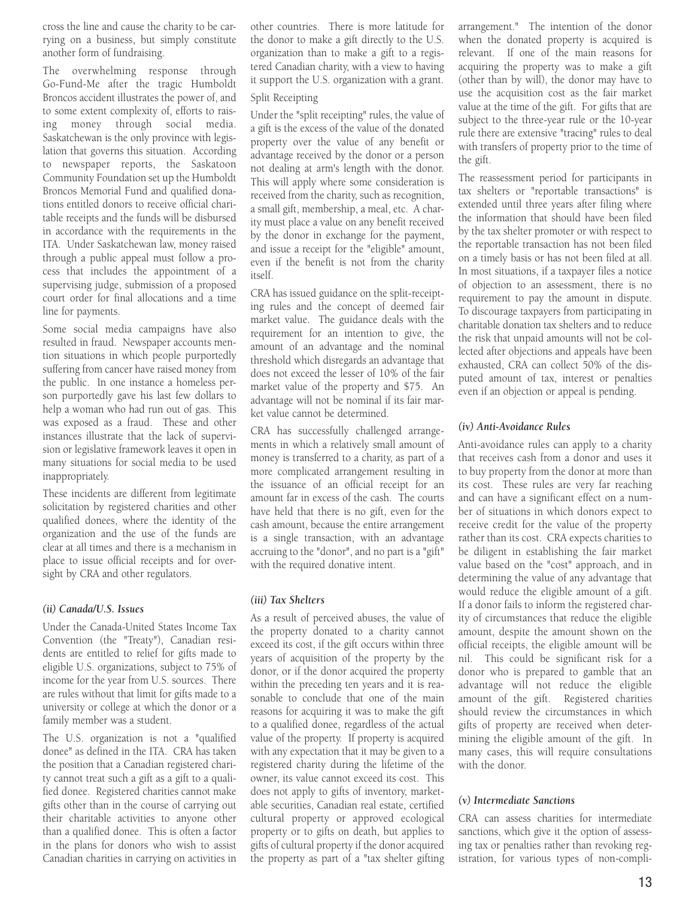cross the line and cause the charity to be carrying on a business, but simply constitute another form of fundraising.

The overwhelming response through Go-Fund-Me after the tragic Humboldt Broncos accident illustrates the power of, and to some extent complexity of, efforts to raising money through social media. Saskatchewan is the only province with legislation that governs this situation. According to newspaper reports, the Saskatoon Community Foundation set up the Humboldt Broncos Memorial Fund and qualified donations entitled donors to receive official charitable receipts and the funds will be disbursed in accordance with the requirements in the ITA. Under Saskatchewan law, money raised through a public appeal must follow a process that includes the appointment of a supervising judge, submission of a proposed court order for final allocations and a time line for payments.

Some social media campaigns have also resulted in fraud. Newspaper accounts mention situations in which people purportedly suffering from cancer have raised money from the public. In one instance a homeless person purportedly gave his last few dollars to help a woman who had run out of gas. This was exposed as a fraud. These and other instances illustrate that the lack of supervision or legislative framework leaves it open in many situations for social media to be used inappropriately.

These incidents are different from legitimate solicitation by registered charities and other qualified donees, where the identity of the organization and the use of the funds are clear at all times and there is a mechanism in place to issue official receipts and for oversight by CRA and other regulators.

#### *(ii) Canada/U.S. Issues*

Under the Canada-United States Income Tax Convention (the "Treaty"), Canadian residents are entitled to relief for gifts made to eligible U.S. organizations, subject to 75% of income for the year from U.S. sources. There are rules without that limit for gifts made to a university or college at which the donor or a family member was a student.

The U.S. organization is not a "qualified donee" as defined in the ITA. CRA has taken the position that a Canadian registered charity cannot treat such a gift as a gift to a qualified donee. Registered charities cannot make gifts other than in the course of carrying out their charitable activities to anyone other than a qualified donee. This is often a factor in the plans for donors who wish to assist Canadian charities in carrying on activities in

other countries. There is more latitude for the donor to make a gift directly to the U.S. organization than to make a gift to a registered Canadian charity, with a view to having it support the U.S. organization with a grant.

#### Split Receipting

Under the "split receipting" rules, the value of a gift is the excess of the value of the donated property over the value of any benefit or advantage received by the donor or a person not dealing at arm's length with the donor. This will apply where some consideration is received from the charity, such as recognition, a small gift, membership, a meal, etc. A charity must place a value on any benefit received by the donor in exchange for the payment, and issue a receipt for the "eligible" amount, even if the benefit is not from the charity itself.

CRA has issued guidance on the split-receipting rules and the concept of deemed fair market value. The guidance deals with the requirement for an intention to give, the amount of an advantage and the nominal threshold which disregards an advantage that does not exceed the lesser of 10% of the fair market value of the property and \$75. An advantage will not be nominal if its fair market value cannot be determined.

CRA has successfully challenged arrangements in which a relatively small amount of money is transferred to a charity, as part of a more complicated arrangement resulting in the issuance of an official receipt for an amount far in excess of the cash. The courts have held that there is no gift, even for the cash amount, because the entire arrangement is a single transaction, with an advantage accruing to the "donor", and no part is a "gift" with the required donative intent.

#### *(iii) Tax Shelters*

As a result of perceived abuses, the value of the property donated to a charity cannot exceed its cost, if the gift occurs within three years of acquisition of the property by the donor, or if the donor acquired the property within the preceding ten years and it is reasonable to conclude that one of the main reasons for acquiring it was to make the gift to a qualified donee, regardless of the actual value of the property. If property is acquired with any expectation that it may be given to a registered charity during the lifetime of the owner, its value cannot exceed its cost. This does not apply to gifts of inventory, marketable securities, Canadian real estate, certified cultural property or approved ecological property or to gifts on death, but applies to gifts of cultural property if the donor acquired the property as part of a "tax shelter gifting

arrangement." The intention of the donor when the donated property is acquired is relevant. If one of the main reasons for acquiring the property was to make a gift (other than by will), the donor may have to use the acquisition cost as the fair market value at the time of the gift. For gifts that are subject to the three-year rule or the 10-year rule there are extensive "tracing" rules to deal with transfers of property prior to the time of the gift.

The reassessment period for participants in tax shelters or "reportable transactions" is extended until three years after filing where the information that should have been filed by the tax shelter promoter or with respect to the reportable transaction has not been filed on a timely basis or has not been filed at all. In most situations, if a taxpayer files a notice of objection to an assessment, there is no requirement to pay the amount in dispute. To discourage taxpayers from participating in charitable donation tax shelters and to reduce the risk that unpaid amounts will not be collected after objections and appeals have been exhausted, CRA can collect 50% of the disputed amount of tax, interest or penalties even if an objection or appeal is pending.

#### *(iv) Anti-Avoidance Rules*

Anti-avoidance rules can apply to a charity that receives cash from a donor and uses it to buy property from the donor at more than its cost. These rules are very far reaching and can have a significant effect on a number of situations in which donors expect to receive credit for the value of the property rather than its cost. CRA expects charities to be diligent in establishing the fair market value based on the "cost" approach, and in determining the value of any advantage that would reduce the eligible amount of a gift. If a donor fails to inform the registered charity of circumstances that reduce the eligible amount, despite the amount shown on the official receipts, the eligible amount will be nil. This could be significant risk for a donor who is prepared to gamble that an advantage will not reduce the eligible amount of the gift. Registered charities should review the circumstances in which gifts of property are received when determining the eligible amount of the gift. In many cases, this will require consultations with the donor.

#### *(v) Intermediate Sanctions*

CRA can assess charities for intermediate sanctions, which give it the option of assessing tax or penalties rather than revoking registration, for various types of non-compli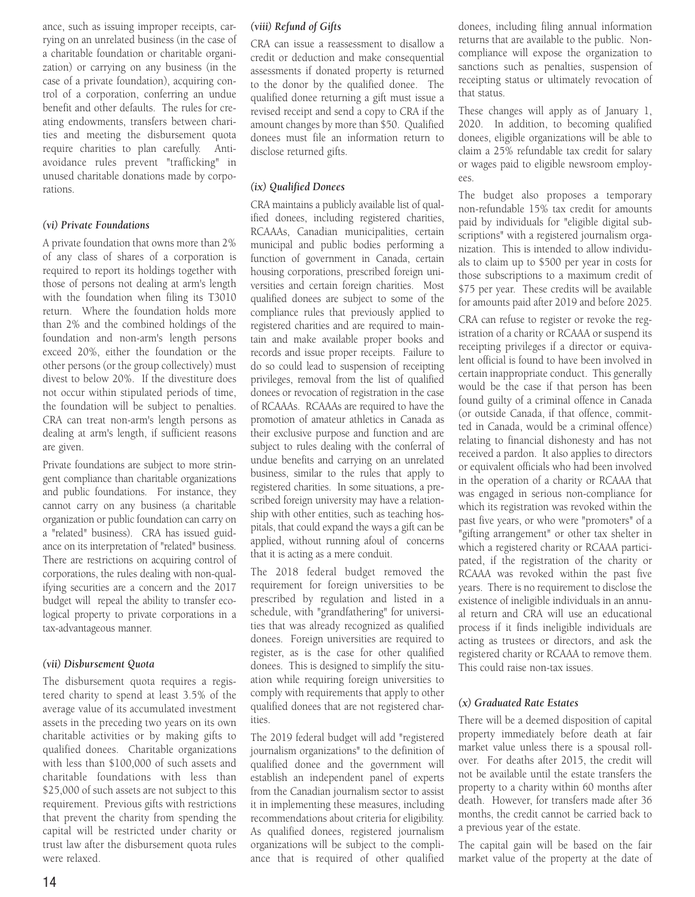ance, such as issuing improper receipts, carrying on an unrelated business (in the case of a charitable foundation or charitable organization) or carrying on any business (in the case of a private foundation), acquiring control of a corporation, conferring an undue benefit and other defaults. The rules for creating endowments, transfers between charities and meeting the disbursement quota require charities to plan carefully. Antiavoidance rules prevent "trafficking" in unused charitable donations made by corporations.

#### *(vi) Private Foundations*

A private foundation that owns more than 2% of any class of shares of a corporation is required to report its holdings together with those of persons not dealing at arm's length with the foundation when filing its T3010 return. Where the foundation holds more than 2% and the combined holdings of the foundation and non-arm's length persons exceed 20%, either the foundation or the other persons (or the group collectively) must divest to below 20%. If the divestiture does not occur within stipulated periods of time, the foundation will be subject to penalties. CRA can treat non-arm's length persons as dealing at arm's length, if sufficient reasons are given.

Private foundations are subject to more stringent compliance than charitable organizations and public foundations. For instance, they cannot carry on any business (a charitable organization or public foundation can carry on a "related" business). CRA has issued guidance on its interpretation of "related" business. There are restrictions on acquiring control of corporations, the rules dealing with non-qualifying securities are a concern and the 2017 budget will repeal the ability to transfer ecological property to private corporations in a tax-advantageous manner.

#### *(vii) Disbursement Quota*

The disbursement quota requires a registered charity to spend at least 3.5% of the average value of its accumulated investment assets in the preceding two years on its own charitable activities or by making gifts to qualified donees. Charitable organizations with less than \$100,000 of such assets and charitable foundations with less than \$25,000 of such assets are not subject to this requirement. Previous gifts with restrictions that prevent the charity from spending the capital will be restricted under charity or trust law after the disbursement quota rules were relaxed.

#### *(viii) Refund of Gifts*

CRA can issue a reassessment to disallow a credit or deduction and make consequential assessments if donated property is returned to the donor by the qualified donee. The qualified donee returning a gift must issue a revised receipt and send a copy to CRA if the amount changes by more than \$50. Qualified donees must file an information return to disclose returned gifts.

#### *(ix) Qualified Donees*

CRA maintains a publicly available list of qualified donees, including registered charities, RCAAAs, Canadian municipalities, certain municipal and public bodies performing a function of government in Canada, certain housing corporations, prescribed foreign universities and certain foreign charities. Most qualified donees are subject to some of the compliance rules that previously applied to registered charities and are required to maintain and make available proper books and records and issue proper receipts. Failure to do so could lead to suspension of receipting privileges, removal from the list of qualified donees or revocation of registration in the case of RCAAAs. RCAAAs are required to have the promotion of amateur athletics in Canada as their exclusive purpose and function and are subject to rules dealing with the conferral of undue benefits and carrying on an unrelated business, similar to the rules that apply to registered charities. In some situations, a prescribed foreign university may have a relationship with other entities, such as teaching hospitals, that could expand the ways a gift can be applied, without running afoul of concerns that it is acting as a mere conduit.

The 2018 federal budget removed the requirement for foreign universities to be prescribed by regulation and listed in a schedule, with "grandfathering" for universities that was already recognized as qualified donees. Foreign universities are required to register, as is the case for other qualified donees. This is designed to simplify the situation while requiring foreign universities to comply with requirements that apply to other qualified donees that are not registered charities.

The 2019 federal budget will add "registered journalism organizations" to the definition of qualified donee and the government will establish an independent panel of experts from the Canadian journalism sector to assist it in implementing these measures, including recommendations about criteria for eligibility. As qualified donees, registered journalism organizations will be subject to the compliance that is required of other qualified

donees, including filing annual information returns that are available to the public. Noncompliance will expose the organization to sanctions such as penalties, suspension of receipting status or ultimately revocation of that status.

These changes will apply as of January 1, 2020. In addition, to becoming qualified donees, eligible organizations will be able to claim a 25% refundable tax credit for salary or wages paid to eligible newsroom employees.

The budget also proposes a temporary non-refundable 15% tax credit for amounts paid by individuals for "eligible digital subscriptions" with a registered journalism organization. This is intended to allow individuals to claim up to \$500 per year in costs for those subscriptions to a maximum credit of \$75 per year. These credits will be available for amounts paid after 2019 and before 2025.

CRA can refuse to register or revoke the registration of a charity or RCAAA or suspend its receipting privileges if a director or equivalent official is found to have been involved in certain inappropriate conduct. This generally would be the case if that person has been found guilty of a criminal offence in Canada (or outside Canada, if that offence, committed in Canada, would be a criminal offence) relating to financial dishonesty and has not received a pardon. It also applies to directors or equivalent officials who had been involved in the operation of a charity or RCAAA that was engaged in serious non-compliance for which its registration was revoked within the past five years, or who were "promoters" of a "gifting arrangement" or other tax shelter in which a registered charity or RCAAA participated, if the registration of the charity or RCAAA was revoked within the past five years. There is no requirement to disclose the existence of ineligible individuals in an annual return and CRA will use an educational process if it finds ineligible individuals are acting as trustees or directors, and ask the registered charity or RCAAA to remove them. This could raise non-tax issues.

#### *(x) Graduated Rate Estates*

There will be a deemed disposition of capital property immediately before death at fair market value unless there is a spousal rollover. For deaths after 2015, the credit will not be available until the estate transfers the property to a charity within 60 months after death. However, for transfers made after 36 months, the credit cannot be carried back to a previous year of the estate.

The capital gain will be based on the fair market value of the property at the date of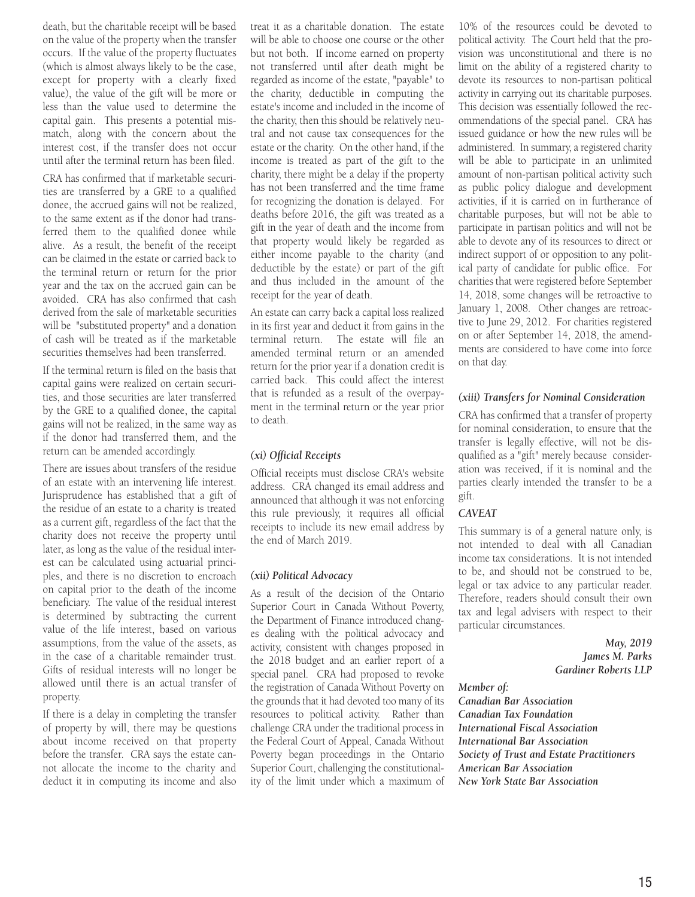death, but the charitable receipt will be based on the value of the property when the transfer occurs. If the value of the property fluctuates (which is almost always likely to be the case, except for property with a clearly fixed value), the value of the gift will be more or less than the value used to determine the capital gain. This presents a potential mismatch, along with the concern about the interest cost, if the transfer does not occur until after the terminal return has been filed.

CRA has confirmed that if marketable securities are transferred by a GRE to a qualified donee, the accrued gains will not be realized, to the same extent as if the donor had transferred them to the qualified donee while alive. As a result, the benefit of the receipt can be claimed in the estate or carried back to the terminal return or return for the prior year and the tax on the accrued gain can be avoided. CRA has also confirmed that cash derived from the sale of marketable securities will be "substituted property" and a donation of cash will be treated as if the marketable securities themselves had been transferred.

If the terminal return is filed on the basis that capital gains were realized on certain securities, and those securities are later transferred by the GRE to a qualified donee, the capital gains will not be realized, in the same way as if the donor had transferred them, and the return can be amended accordingly.

There are issues about transfers of the residue of an estate with an intervening life interest. Jurisprudence has established that a gift of the residue of an estate to a charity is treated as a current gift, regardless of the fact that the charity does not receive the property until later, as long as the value of the residual interest can be calculated using actuarial principles, and there is no discretion to encroach on capital prior to the death of the income beneficiary. The value of the residual interest is determined by subtracting the current value of the life interest, based on various assumptions, from the value of the assets, as in the case of a charitable remainder trust. Gifts of residual interests will no longer be allowed until there is an actual transfer of property.

If there is a delay in completing the transfer of property by will, there may be questions about income received on that property before the transfer. CRA says the estate cannot allocate the income to the charity and deduct it in computing its income and also

treat it as a charitable donation. The estate will be able to choose one course or the other but not both. If income earned on property not transferred until after death might be regarded as income of the estate, "payable" to the charity, deductible in computing the estate's income and included in the income of the charity, then this should be relatively neutral and not cause tax consequences for the estate or the charity. On the other hand, if the income is treated as part of the gift to the charity, there might be a delay if the property has not been transferred and the time frame for recognizing the donation is delayed. For deaths before 2016, the gift was treated as a gift in the year of death and the income from that property would likely be regarded as either income payable to the charity (and deductible by the estate) or part of the gift and thus included in the amount of the receipt for the year of death.

An estate can carry back a capital loss realized in its first year and deduct it from gains in the terminal return. The estate will file an amended terminal return or an amended return for the prior year if a donation credit is carried back. This could affect the interest that is refunded as a result of the overpayment in the terminal return or the year prior to death.

#### *(xi) Official Receipts*

Official receipts must disclose CRA's website address. CRA changed its email address and announced that although it was not enforcing this rule previously, it requires all official receipts to include its new email address by the end of March 2019.

#### *(xii) Political Advocacy*

As a result of the decision of the Ontario Superior Court in Canada Without Poverty, the Department of Finance introduced changes dealing with the political advocacy and activity, consistent with changes proposed in the 2018 budget and an earlier report of a special panel. CRA had proposed to revoke the registration of Canada Without Poverty on the grounds that it had devoted too many of its resources to political activity. Rather than challenge CRA under the traditional process in the Federal Court of Appeal, Canada Without Poverty began proceedings in the Ontario Superior Court, challenging the constitutionality of the limit under which a maximum of

10% of the resources could be devoted to political activity. The Court held that the provision was unconstitutional and there is no limit on the ability of a registered charity to devote its resources to non-partisan political activity in carrying out its charitable purposes. This decision was essentially followed the recommendations of the special panel. CRA has issued guidance or how the new rules will be administered. In summary, a registered charity will be able to participate in an unlimited amount of non-partisan political activity such as public policy dialogue and development activities, if it is carried on in furtherance of charitable purposes, but will not be able to participate in partisan politics and will not be able to devote any of its resources to direct or indirect support of or opposition to any political party of candidate for public office. For charities that were registered before September 14, 2018, some changes will be retroactive to January 1, 2008. Other changes are retroactive to June 29, 2012. For charities registered on or after September 14, 2018, the amendments are considered to have come into force on that day.

#### *(xiii) Transfers for Nominal Consideration*

CRA has confirmed that a transfer of property for nominal consideration, to ensure that the transfer is legally effective, will not be disqualified as a "gift" merely because consideration was received, if it is nominal and the parties clearly intended the transfer to be a gift.

#### *CAVEAT*

This summary is of a general nature only, is not intended to deal with all Canadian income tax considerations. It is not intended to be, and should not be construed to be, legal or tax advice to any particular reader. Therefore, readers should consult their own tax and legal advisers with respect to their particular circumstances.

> *May, 2019 James M. Parks Gardiner Roberts LLP*

#### *Member of:*

*Canadian Bar Association Canadian Tax Foundation International Fiscal Association International Bar Association Society of Trust and Estate Practitioners American Bar Association New York State Bar Association*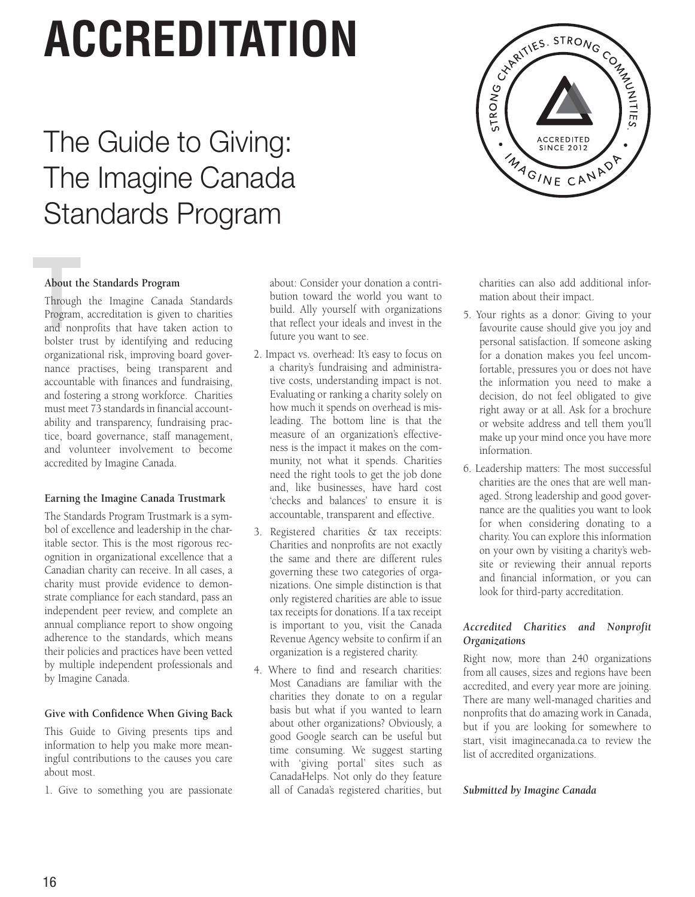## **ACCREDITATION**

### The Guide to Giving: The Imagine Canada Standards Program



#### **About the Standards Program**

**About the Through Program**<br>Program and non<br>holster t Through the Imagine Canada Standards Program, accreditation is given to charities and nonprofits that have taken action to bolster trust by identifying and reducing organizational risk, improving board governance practises, being transparent and accountable with finances and fundraising, and fostering a strong workforce. Charities must meet 73 standards in financial accountability and transparency, fundraising practice, board governance, staff management, and volunteer involvement to become accredited by Imagine Canada.

#### **Earning the Imagine Canada Trustmark**

The Standards Program Trustmark is a symbol of excellence and leadership in the charitable sector. This is the most rigorous recognition in organizational excellence that a Canadian charity can receive. In all cases, a charity must provide evidence to demonstrate compliance for each standard, pass an independent peer review, and complete an annual compliance report to show ongoing adherence to the standards, which means their policies and practices have been vetted by multiple independent professionals and by Imagine Canada.

#### **Give with Confidence When Giving Back**

This Guide to Giving presents tips and information to help you make more meaningful contributions to the causes you care about most.

1. Give to something you are passionate

about: Consider your donation a contribution toward the world you want to build. Ally yourself with organizations that reflect your ideals and invest in the future you want to see.

- 2. Impact vs. overhead: It's easy to focus on a charity's fundraising and administrative costs, understanding impact is not. Evaluating or ranking a charity solely on how much it spends on overhead is misleading. The bottom line is that the measure of an organization's effectiveness is the impact it makes on the community, not what it spends. Charities need the right tools to get the job done and, like businesses, have hard cost 'checks and balances' to ensure it is accountable, transparent and effective.
- 3. Registered charities & tax receipts: Charities and nonprofits are not exactly the same and there are different rules governing these two categories of organizations. One simple distinction is that only registered charities are able to issue tax receipts for donations. If a tax receipt is important to you, visit the Canada Revenue Agency website to confirm if an organization is a registered charity.
- 4. Where to find and research charities: Most Canadians are familiar with the charities they donate to on a regular basis but what if you wanted to learn about other organizations? Obviously, a good Google search can be useful but time consuming. We suggest starting with 'giving portal' sites such as CanadaHelps. Not only do they feature all of Canada's registered charities, but

charities can also add additional information about their impact.

- 5. Your rights as a donor: Giving to your favourite cause should give you joy and personal satisfaction. If someone asking for a donation makes you feel uncomfortable, pressures you or does not have the information you need to make a decision, do not feel obligated to give right away or at all. Ask for a brochure or website address and tell them you'll make up your mind once you have more information.
- 6. Leadership matters: The most successful charities are the ones that are well managed. Strong leadership and good governance are the qualities you want to look for when considering donating to a charity. You can explore this information on your own by visiting a charity's website or reviewing their annual reports and financial information, or you can look for third-party accreditation.

#### *Accredited Charities and Nonprofit Organizations*

Right now, more than 240 organizations from all causes, sizes and regions have been accredited, and every year more are joining. There are many well-managed charities and nonprofits that do amazing work in Canada, but if you are looking for somewhere to start, visit imaginecanada.ca to review the list of accredited organizations.

#### *Submitted by Imagine Canada*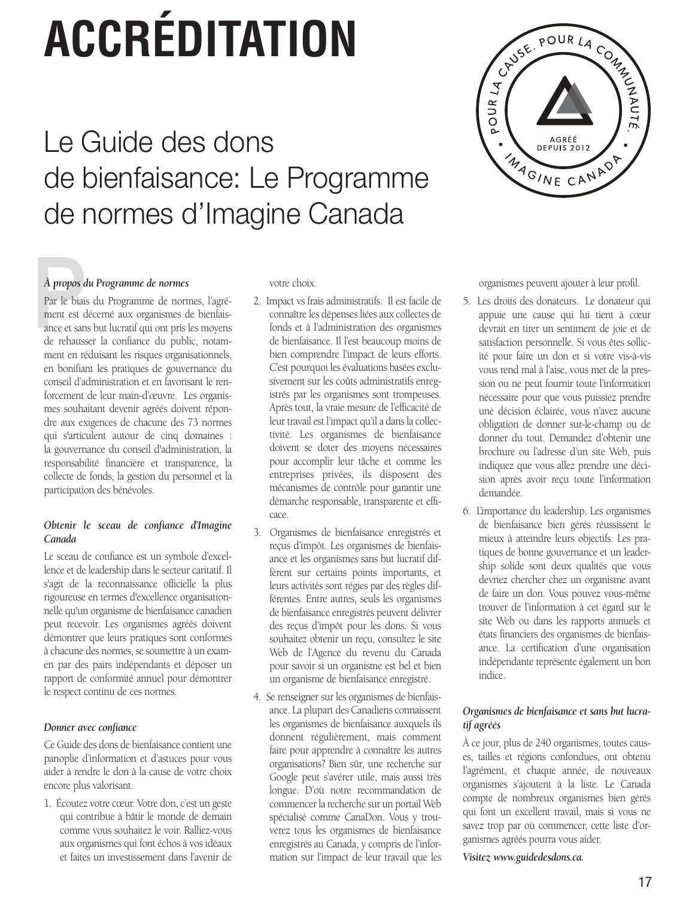## **ACCRÉDITATION**

### Le Guide des dons de bienfaisance: Le Programme de normes d'Imagine Canada



#### *À propos du Programme de normes*

À propos a<br>Par le biais<br>ment est d<br>ance et san<br>de rebauss Par le biais du Programme de normes, l'agrément est décerné aux organismes de bienfaisance et sans but lucratif qui ont pris les moyens de rehausser la confiance du public, notamment en réduisant les risques organisationnels, en bonifiant les pratiques de gouvernance du conseil d'administration et en favorisant le renforcement de leur main-d'œuvre. Les organismes souhaitant devenir agréés doivent répondre aux exigences de chacune des 73 normes qui s'articulent autour de cinq domaines : la gouvernance du conseil d'administration, la responsabilité financière et transparence, la collecte de fonds, la gestion du personnel et la participation des bénévoles.

#### *Obtenir le sceau de confiance d'Imagine Canada*

Le sceau de confiance est un symbole d'excellence et de leadership dans le secteur caritatif. Il s'agit de la reconnaissance officielle la plus rigoureuse en termes d'excellence organisationnelle qu'un organisme de bienfaisance canadien peut recevoir. Les organismes agréés doivent démontrer que leurs pratiques sont conformes à chacune des normes, se soumettre à un examen par des pairs indépendants et déposer un rapport de conformité annuel pour démontrer le respect continu de ces normes.

#### *Donner avec confiance*

Ce Guide des dons de bienfaisance contient une panoplie d'information et d'astuces pour vous aider à rendre le don à la cause de votre choix encore plus valorisant.

1. Écoutez votre cœur. Votre don, c'est un geste qui contribue à bâtir le monde de demain comme vous souhaitez le voir. Ralliez-vous aux organismes qui font échos à vos idéaux et faites un investissement dans l'avenir de

votre choix.

- 2. Impact vs frais administratifs. Il est facile de connaître les dépenses liées aux collectes de fonds et à l'administration des organismes de bienfaisance. Il l'est beaucoup moins de bien comprendre l'impact de leurs efforts. C'est pourquoi les évaluations basées exclusivement sur les coûts administratifs enregistrés par les organismes sont trompeuses. Après tout, la vraie mesure de l'efficacité de leur travail est l'impact qu'il a dans la collectivité. Les organismes de bienfaisance doivent se doter des moyens nécessaires pour accomplir leur tâche et comme les entreprises privées, ils disposent des mécanismes de contrôle pour garantir une démarche responsable, transparente et efficace.
- 3. Organismes de bienfaisance enregistrés et reçus d'impôt. Les organismes de bienfaisance et les organismes sans but lucratif diffèrent sur certains points importants, et leurs activités sont régies par des règles différentes. Entre autres, seuls les organismes de bienfaisance enregistrés peuvent délivrer des reçus d'impôt pour les dons. Si vous souhaitez obtenir un reçu, consultez le site Web de l'Agence du revenu du Canada pour savoir si un organisme est bel et bien un organisme de bienfaisance enregistré.
- 4. Se renseigner sur les organismes de bienfaisance. La plupart des Canadiens connaissent les organismes de bienfaisance auxquels ils donnent régulièrement, mais comment faire pour apprendre à connaître les autres organisations? Bien sûr, une recherche sur Google peut s'avérer utile, mais aussi très longue. D'où notre recommandation de commencer la recherche sur un portail Web spécialisé comme CanaDon. Vous y trouverez tous les organismes de bienfaisance enregistrés au Canada, y compris de l'information sur l'impact de leur travail que les

organismes peuvent ajouter à leur profil.

- 5. Les droits des donateurs. Le donateur qui appuie une cause qui lui tient à cœur devrait en tirer un sentiment de joie et de satisfaction personnelle. Si vous êtes sollicité pour faire un don et si votre vis-à-vis vous rend mal à l'aise, vous met de la pression ou ne peut fournir toute l'information nécessaire pour que vous puissiez prendre une décision éclairée, vous n'avez aucune obligation de donner sur-le-champ ou de donner du tout. Demandez d'obtenir une brochure ou l'adresse d'un site Web, puis indiquez que vous allez prendre une décision après avoir reçu toute l'information demandée.
- 6. L'importance du leadership. Les organismes de bienfaisance bien gérés réussissent le mieux à atteindre leurs objectifs. Les pratiques de bonne gouvernance et un leadership solide sont deux qualités que vous devriez chercher chez un organisme avant de faire un don. Vous pouvez vous-même trouver de l'information à cet égard sur le site Web ou dans les rapports annuels et états financiers des organismes de bienfaisance. La certification d'une organisation indépendante représente également un bon indice.

#### *Organismes de bienfaisance et sans but lucratif agréés*

À ce jour, plus de 240 organismes, toutes causes, tailles et régions confondues, ont obtenu l'agrément, et chaque année, de nouveaux organismes s'ajoutent à la liste. Le Canada compte de nombreux organismes bien gérés qui font un excellent travail, mais si vous ne savez trop par où commencer, cette liste d'organismes agréés pourra vous aider.

*Visitez www.guidedesdons.ca.*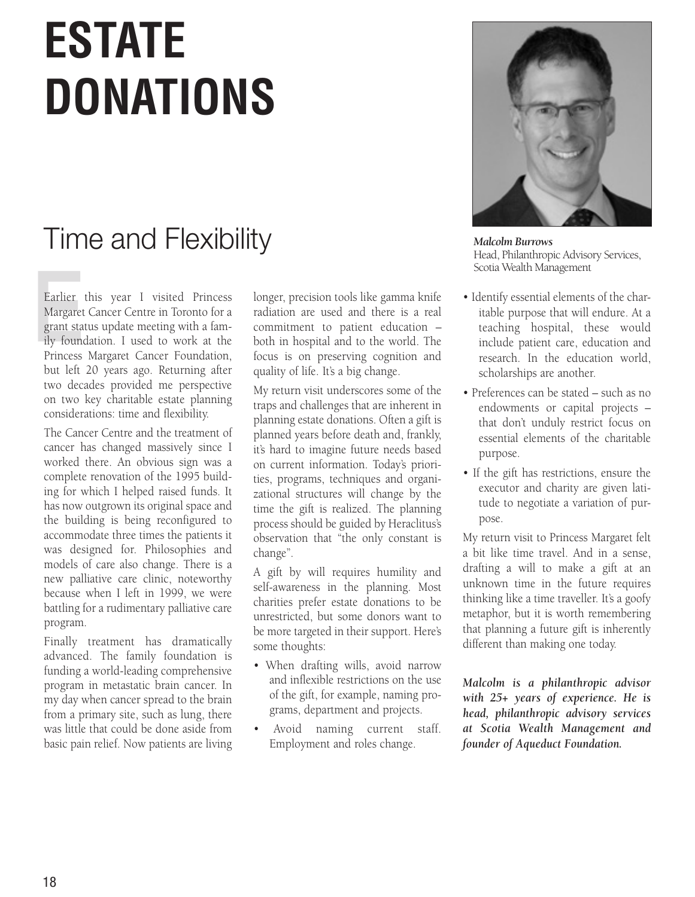## **ESTATE DONATIONS**

### Time and Flexibility

Earlier<br>Margaret<br>grant sta<br>ily found<br>Princess Earlier this year I visited Princess Margaret Cancer Centre in Toronto for a grant status update meeting with a family foundation. I used to work at the Princess Margaret Cancer Foundation, but left 20 years ago. Returning after two decades provided me perspective on two key charitable estate planning considerations: time and flexibility.

The Cancer Centre and the treatment of cancer has changed massively since I worked there. An obvious sign was a complete renovation of the 1995 building for which I helped raised funds. It has now outgrown its original space and the building is being reconfigured to accommodate three times the patients it was designed for. Philosophies and models of care also change. There is a new palliative care clinic, noteworthy because when I left in 1999, we were battling for a rudimentary palliative care program.

Finally treatment has dramatically advanced. The family foundation is funding a world-leading comprehensive program in metastatic brain cancer. In my day when cancer spread to the brain from a primary site, such as lung, there was little that could be done aside from basic pain relief. Now patients are living

longer, precision tools like gamma knife radiation are used and there is a real commitment to patient education – both in hospital and to the world. The focus is on preserving cognition and quality of life. It's a big change.

My return visit underscores some of the traps and challenges that are inherent in planning estate donations. Often a gift is planned years before death and, frankly, it's hard to imagine future needs based on current information. Today's priorities, programs, techniques and organizational structures will change by the time the gift is realized. The planning process should be guided by Heraclitus's observation that "the only constant is change".

A gift by will requires humility and self-awareness in the planning. Most charities prefer estate donations to be unrestricted, but some donors want to be more targeted in their support. Here's some thoughts:

- When drafting wills, avoid narrow and inflexible restrictions on the use of the gift, for example, naming programs, department and projects.
- Avoid naming current staff. Employment and roles change.



*Malcolm Burrows* Head, Philanthropic Advisory Services, Scotia Wealth Management

- Identify essential elements of the charitable purpose that will endure. At a teaching hospital, these would include patient care, education and research. In the education world, scholarships are another.
- Preferences can be stated such as no endowments or capital projects – that don't unduly restrict focus on essential elements of the charitable purpose.
- If the gift has restrictions, ensure the executor and charity are given latitude to negotiate a variation of purpose.

My return visit to Princess Margaret felt a bit like time travel. And in a sense, drafting a will to make a gift at an unknown time in the future requires thinking like a time traveller. It's a goofy metaphor, but it is worth remembering that planning a future gift is inherently different than making one today.

*Malcolm is a philanthropic advisor with 25+ years of experience. He is head, philanthropic advisory services at Scotia Wealth Management and founder of Aqueduct Foundation.*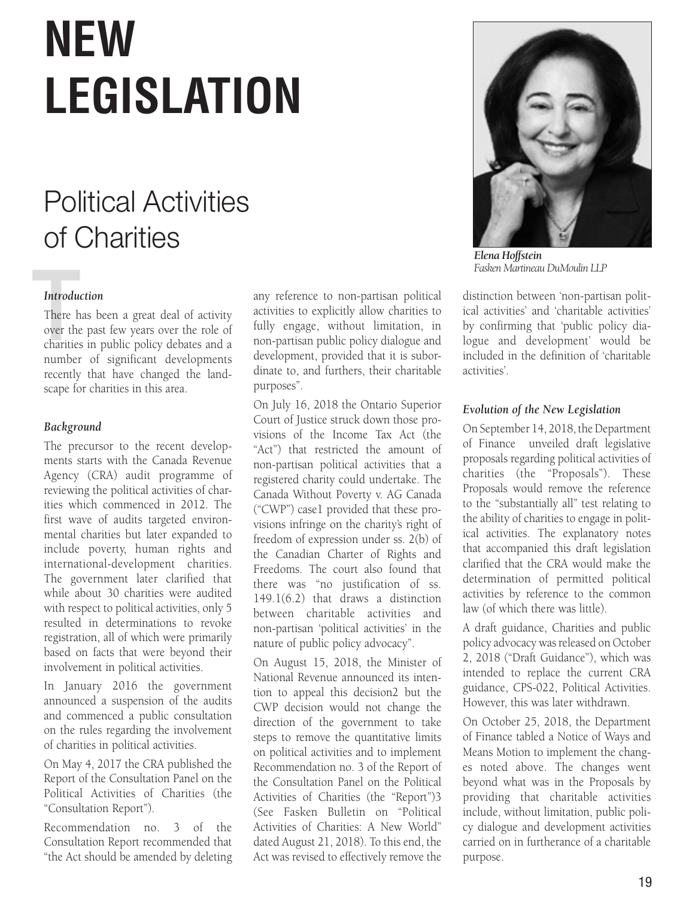## $N$ **EW** LEGISLATION

## **Political Activities** of Charities

#### *Introduction*

**Introdu**<br>There h<br>over the<br>charities There has been a great deal of activity Filter has been a great dear or activity<br>over the past few years over the role of charities in public policy debates and a number of significant developments recently that have changed the landscape for charities in this area. **Introducti**<br>There has<br>over the p<br>charities in Department of Finance on August 29, 2014 over the past iew years over the TO

#### Background with under the Income Tax Act RSC 1985, with the Income Tax Act RSC 1985, with the Income Tax Act RSC 1985, with the Income Tax Act RSC 1985, with the Income Tax Act RSC 1985, with the Income Tax Act RSC 1985, with the Inc

The precursor to the recent developments starts with the Canada Revenue Agency (CRA) audit programme of  $r_{\text{re}}$  reviewing the political activities of charreviewing the pennear derivates of endfirst wave of audits targeted environmental charities but later expanded to include poverty, human rights and international-development charities. The government later clarified that while about 30 charities were audited with respect to political activities, only 5 resulted in determinations to revoke registration, all of which were primarily based on facts that were beyond their involvement in political activities. deemed to additional to the doublemorement in pention determines.

In January 2016 the government announced a suspension of the audits and commenced a public consultation on the rules regarding the involvement of charities in political activities.

On May 4, 2017 the CRA published the Report of the Consultation Panel on the Political Activities of Charities (the reflected the terms of the terms of the terms of the terms of the terms of the terms of the terms of the terms of the terms of the terms of the terms of the terms of the terms of the terms of the terms of the terms of the Consultation Report ).

Recommendation no. 3 of the Consultation Report recommended that "the Act should be amended by deleting any reference to non-partisan political activities to explicitly allow charities to fully engage, without limitation, in non-partisan public policy dialogue and development, provided that it is subordinate to, and furthers, their charitable purposes".

On July 16, 2018 the Ontario Superior Court of Justice struck down those provisions of the Income Tax Act (the "Act") that restricted the amount of non-partisan political activities that a registered charity could undertake. The Canada Without Poverty v. AG Canada ("CWP") case1 provided that these provisions infringe on the charity's right of freedom of expression under ss. 2(b) of the Canadian Charter of Rights and Freedoms. The court also found that there was "no justification of ss.  $149.1(6.2)$  that draws a distinction 119.1(0.2) that draws a distinction non-partisan 'political activities' in the nature of public policy advocacy". on jury 10, 2010 the Omano Superior

On August 15, 2018, the Minister of can engine to, the changes to the changes to the changes of Futuristic and the anti-the difference and inter-CWP decision would not change the direction of the government to take ancellon of the government to take on political activities and to implement Recommendation no. 3 of the Report of the Consultation Panel on the Political Activities of Charities (the "Report")3 (See Fasken Bulletin on "Political Activities of Charities: A New World" dated August 21, 2018). To this end, the Act was revised to effectively remove the tion to appear this decisions but the on pointcal activities and to implement



*Elena Hoffstein Fasken Martineau DuMoulin LLP*

distinction between 'non-partisan political activities' and 'charitable activities' by confirming that 'public policy dialogue and development' would be included in the definition of 'charitable activities'.

#### *Evolution of the New Legislation*

On September 14, 2018, the Department of Finance unveiled draft legislative proposals regarding political activities of charities (the "Proposals"). These Proposals would remove the reference to the "substantially all" test relating to the ability of charities to engage in political activities. The explanatory notes that accompanied this draft legislation clarified that the CRA would make the determination of permitted political activities by reference to the common law (of which there was little). qualities by reference to the common

A draft guidance, Charities and public policy advocacy was released on October 2, 2018 ("Draft Guidance"), which was intended to replace the current CRA michaed to replace the carrelate star<br>guidance, CPS-022, Political Activities. However, this was later withdrawn.

On October 25, 2018, the Department of Finance tabled a Notice of Ways and Means Motion to implement the changes noted above. The changes went beyond what was in the Proposals by providing that charitable activities include, without limitation, public policy dialogue and development activities carried on in furtherance of a charitable purpose. On October 25, 2018, the Departr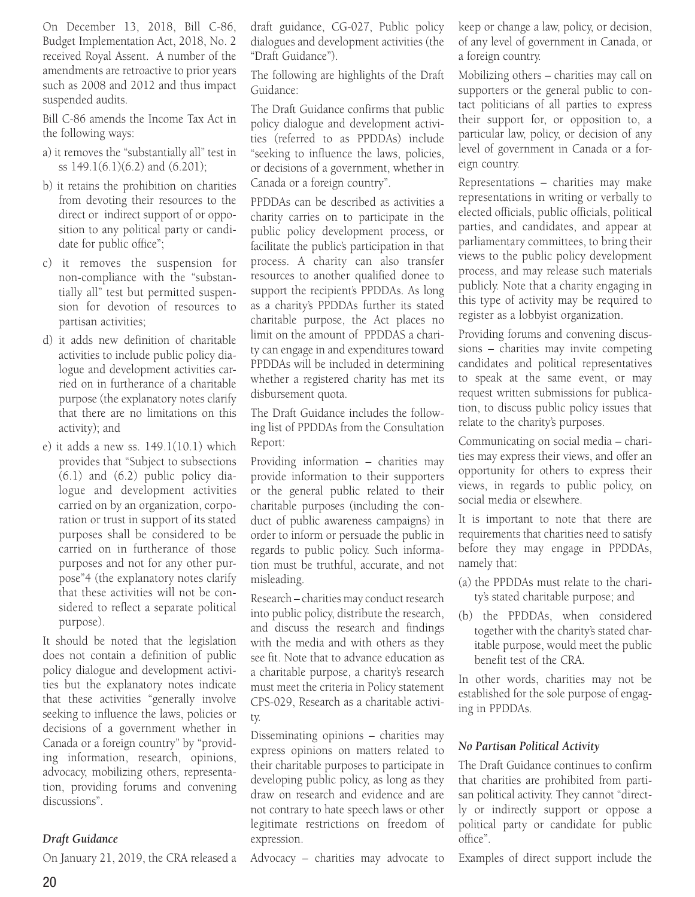On December 13, 2018, Bill C-86, Budget Implementation Act, 2018, No. 2 received Royal Assent. A number of the amendments are retroactive to prior years such as 2008 and 2012 and thus impact suspended audits.

Bill C-86 amends the Income Tax Act in the following ways:

- a) it removes the "substantially all" test in ss 149.1(6.1)(6.2) and (6.201);
- b) it retains the prohibition on charities from devoting their resources to the direct or indirect support of or opposition to any political party or candidate for public office";
- c) it removes the suspension for non-compliance with the "substantially all" test but permitted suspension for devotion of resources to partisan activities;
- d) it adds new definition of charitable activities to include public policy dialogue and development activities carried on in furtherance of a charitable purpose (the explanatory notes clarify that there are no limitations on this activity); and
- e) it adds a new ss. 149.1(10.1) which provides that "Subject to subsections (6.1) and (6.2) public policy dialogue and development activities carried on by an organization, corporation or trust in support of its stated purposes shall be considered to be carried on in furtherance of those purposes and not for any other purpose"4 (the explanatory notes clarify that these activities will not be considered to reflect a separate political purpose).

It should be noted that the legislation does not contain a definition of public policy dialogue and development activities but the explanatory notes indicate that these activities "generally involve seeking to influence the laws, policies or decisions of a government whether in Canada or a foreign country" by "providing information, research, opinions, advocacy, mobilizing others, representation, providing forums and convening discussions".

#### *Draft Guidance*

On January 21, 2019, the CRA released a

draft guidance, CG-027, Public policy dialogues and development activities (the "Draft Guidance").

The following are highlights of the Draft Guidance:

The Draft Guidance confirms that public policy dialogue and development activities (referred to as PPDDAs) include "seeking to influence the laws, policies, or decisions of a government, whether in Canada or a foreign country".

PPDDAs can be described as activities a charity carries on to participate in the public policy development process, or facilitate the public's participation in that process. A charity can also transfer resources to another qualified donee to support the recipient's PPDDAs. As long as a charity's PPDDAs further its stated charitable purpose, the Act places no limit on the amount of PPDDAS a charity can engage in and expenditures toward PPDDAs will be included in determining whether a registered charity has met its disbursement quota.

The Draft Guidance includes the following list of PPDDAs from the Consultation Report:

Providing information – charities may provide information to their supporters or the general public related to their charitable purposes (including the conduct of public awareness campaigns) in order to inform or persuade the public in regards to public policy. Such information must be truthful, accurate, and not misleading.

Research – charities may conduct research into public policy, distribute the research, and discuss the research and findings with the media and with others as they see fit. Note that to advance education as a charitable purpose, a charity's research must meet the criteria in Policy statement CPS-029, Research as a charitable activity.

Disseminating opinions – charities may express opinions on matters related to their charitable purposes to participate in developing public policy, as long as they draw on research and evidence and are not contrary to hate speech laws or other legitimate restrictions on freedom of expression.

Advocacy – charities may advocate to

keep or change a law, policy, or decision, of any level of government in Canada, or a foreign country.

Mobilizing others – charities may call on supporters or the general public to contact politicians of all parties to express their support for, or opposition to, a particular law, policy, or decision of any level of government in Canada or a foreign country.

Representations – charities may make representations in writing or verbally to elected officials, public officials, political parties, and candidates, and appear at parliamentary committees, to bring their views to the public policy development process, and may release such materials publicly. Note that a charity engaging in this type of activity may be required to register as a lobbyist organization.

Providing forums and convening discussions – charities may invite competing candidates and political representatives to speak at the same event, or may request written submissions for publication, to discuss public policy issues that relate to the charity's purposes.

Communicating on social media – charities may express their views, and offer an opportunity for others to express their views, in regards to public policy, on social media or elsewhere.

It is important to note that there are requirements that charities need to satisfy before they may engage in PPDDAs, namely that:

- (a) the PPDDAs must relate to the charity's stated charitable purpose; and
- (b) the PPDDAs, when considered together with the charity's stated charitable purpose, would meet the public benefit test of the CRA.

In other words, charities may not be established for the sole purpose of engaging in PPDDAs.

#### *No Partisan Political Activity*

The Draft Guidance continues to confirm that charities are prohibited from partisan political activity. They cannot "directly or indirectly support or oppose a political party or candidate for public office".

Examples of direct support include the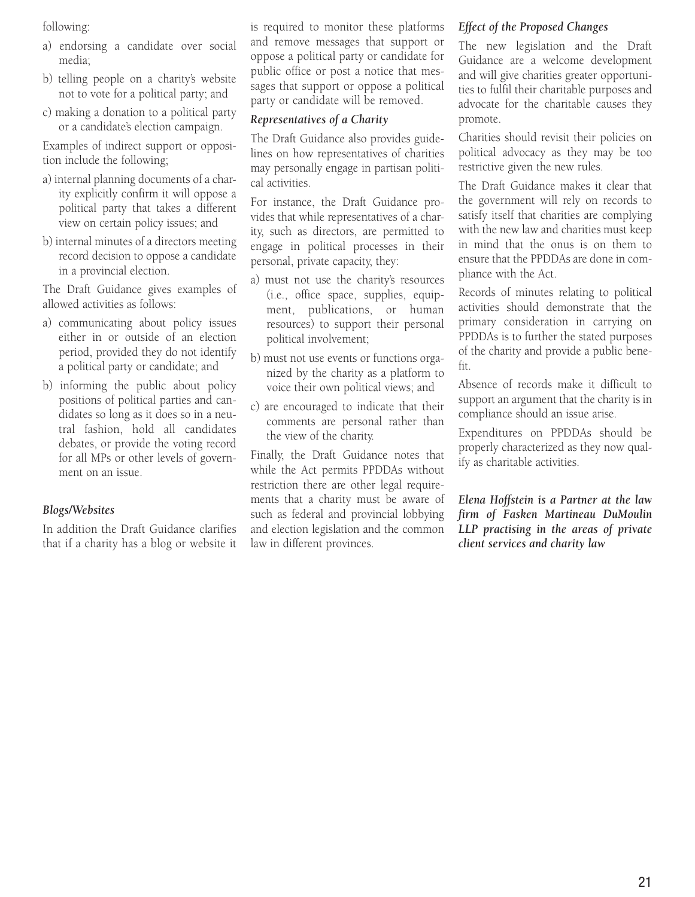following:

- a) endorsing a candidate over social media;
- b) telling people on a charity's website not to vote for a political party; and
- c) making a donation to a political party or a candidate's election campaign.

Examples of indirect support or opposition include the following;

- a) internal planning documents of a charity explicitly confirm it will oppose a political party that takes a different view on certain policy issues; and
- b) internal minutes of a directors meeting record decision to oppose a candidate in a provincial election.

The Draft Guidance gives examples of allowed activities as follows:

- a) communicating about policy issues either in or outside of an election period, provided they do not identify a political party or candidate; and
- b) informing the public about policy positions of political parties and candidates so long as it does so in a neutral fashion, hold all candidates debates, or provide the voting record for all MPs or other levels of government on an issue.

#### *Blogs/Websites*

In addition the Draft Guidance clarifies that if a charity has a blog or website it

is required to monitor these platforms and remove messages that support or oppose a political party or candidate for public office or post a notice that messages that support or oppose a political party or candidate will be removed.

#### *Representatives of a Charity*

The Draft Guidance also provides guidelines on how representatives of charities may personally engage in partisan political activities.

For instance, the Draft Guidance provides that while representatives of a charity, such as directors, are permitted to engage in political processes in their personal, private capacity, they:

- a) must not use the charity's resources (i.e., office space, supplies, equipment, publications, or human resources) to support their personal political involvement;
- b) must not use events or functions organized by the charity as a platform to voice their own political views; and
- c) are encouraged to indicate that their comments are personal rather than the view of the charity.

Finally, the Draft Guidance notes that while the Act permits PPDDAs without restriction there are other legal requirements that a charity must be aware of such as federal and provincial lobbying and election legislation and the common law in different provinces.

#### *Effect of the Proposed Changes*

The new legislation and the Draft Guidance are a welcome development and will give charities greater opportunities to fulfil their charitable purposes and advocate for the charitable causes they promote.

Charities should revisit their policies on political advocacy as they may be too restrictive given the new rules.

The Draft Guidance makes it clear that the government will rely on records to satisfy itself that charities are complying with the new law and charities must keep in mind that the onus is on them to ensure that the PPDDAs are done in compliance with the Act.

Records of minutes relating to political activities should demonstrate that the primary consideration in carrying on PPDDAs is to further the stated purposes of the charity and provide a public benefit.

Absence of records make it difficult to support an argument that the charity is in compliance should an issue arise.

Expenditures on PPDDAs should be properly characterized as they now qualify as charitable activities.

*Elena Hoffstein is a Partner at the law firm of Fasken Martineau DuMoulin LLP practising in the areas of private client services and charity law*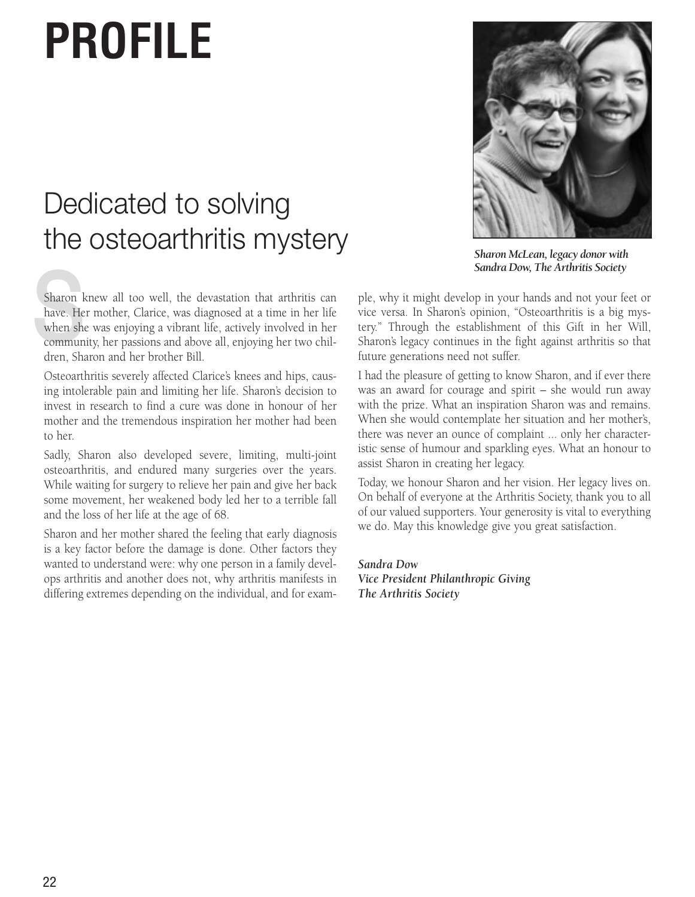## **PROFILE**

### Dedicated to solving the osteoarthritis mystery

Sharon k<br>have. He<br>when sho<br>commun<br>drap Sh Sharon knew all too well, the devastation that arthritis can have. Her mother, Clarice, was diagnosed at a time in her life when she was enjoying a vibrant life, actively involved in her community, her passions and above all, enjoying her two children, Sharon and her brother Bill.

Osteoarthritis severely affected Clarice's knees and hips, causing intolerable pain and limiting her life. Sharon's decision to invest in research to find a cure was done in honour of her mother and the tremendous inspiration her mother had been to her.

Sadly, Sharon also developed severe, limiting, multi-joint osteoarthritis, and endured many surgeries over the years. While waiting for surgery to relieve her pain and give her back some movement, her weakened body led her to a terrible fall and the loss of her life at the age of 68.

Sharon and her mother shared the feeling that early diagnosis is a key factor before the damage is done. Other factors they wanted to understand were: why one person in a family develops arthritis and another does not, why arthritis manifests in differing extremes depending on the individual, and for exam-



*Sharon McLean, legacy donor with Sandra Dow, The Arthritis Society*

ple, why it might develop in your hands and not your feet or vice versa. In Sharon's opinion, "Osteoarthritis is a big mystery." Through the establishment of this Gift in her Will, Sharon's legacy continues in the fight against arthritis so that future generations need not suffer.

I had the pleasure of getting to know Sharon, and if ever there was an award for courage and spirit – she would run away with the prize. What an inspiration Sharon was and remains. When she would contemplate her situation and her mother's, there was never an ounce of complaint ... only her characteristic sense of humour and sparkling eyes. What an honour to assist Sharon in creating her legacy.

Today, we honour Sharon and her vision. Her legacy lives on. On behalf of everyone at the Arthritis Society, thank you to all of our valued supporters. Your generosity is vital to everything we do. May this knowledge give you great satisfaction.

*Sandra Dow Vice President Philanthropic Giving The Arthritis Society*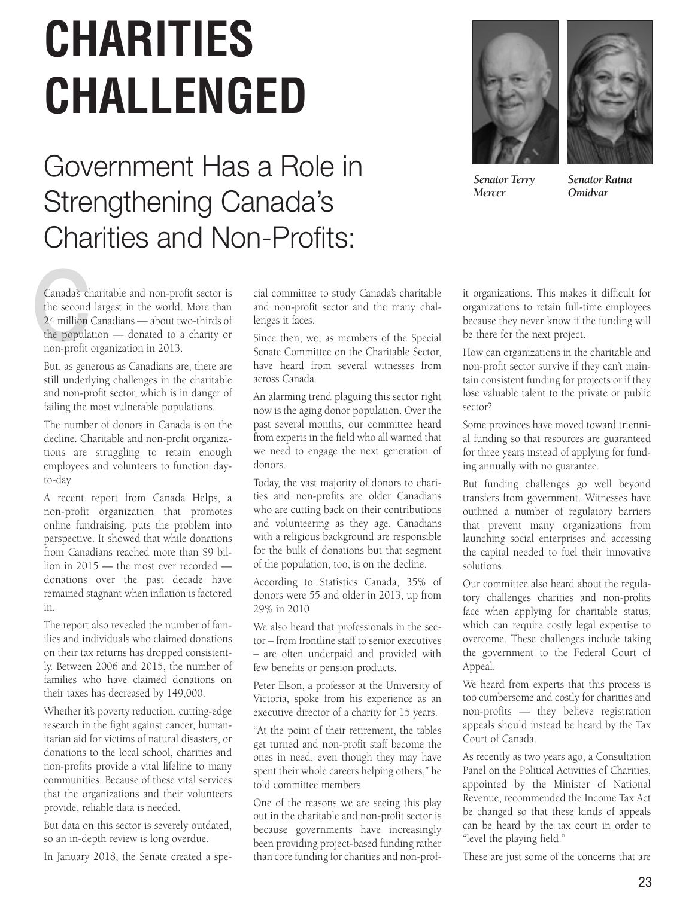## **CHARITIES CHALLENGED**

### Government Has a Role in Strengthening Canada's Charities and Non-Profits:





*Senator Terry Mercer*

*Senator Ratna Omidvar* 

Canada's cl<br>the second<br>24 million<br>the popula<br>non-profit Canada's charitable and non-profit sector is the second largest in the world. More than 24 million Canadians — about two-thirds of the population — donated to a charity or non-profit organization in 2013.

But, as generous as Canadians are, there are still underlying challenges in the charitable and non-profit sector, which is in danger of failing the most vulnerable populations.

The number of donors in Canada is on the decline. Charitable and non-profit organizations are struggling to retain enough employees and volunteers to function dayto-day.

A recent report from Canada Helps, a non-profit organization that promotes online fundraising, puts the problem into perspective. It showed that while donations from Canadians reached more than \$9 billion in 2015 — the most ever recorded donations over the past decade have remained stagnant when inflation is factored in.

The report also revealed the number of families and individuals who claimed donations on their tax returns has dropped consistently. Between 2006 and 2015, the number of families who have claimed donations on their taxes has decreased by 149,000.

Whether it's poverty reduction, cutting-edge research in the fight against cancer, humanitarian aid for victims of natural disasters, or donations to the local school, charities and non-profits provide a vital lifeline to many communities. Because of these vital services that the organizations and their volunteers provide, reliable data is needed.

But data on this sector is severely outdated, so an in-depth review is long overdue.

In January 2018, the Senate created a spe-

cial committee to study Canada's charitable and non-profit sector and the many challenges it faces.

Since then, we, as members of the Special Senate Committee on the Charitable Sector, have heard from several witnesses from across Canada.

An alarming trend plaguing this sector right now is the aging donor population. Over the past several months, our committee heard from experts in the field who all warned that we need to engage the next generation of donors.

Today, the vast majority of donors to charities and non-profits are older Canadians who are cutting back on their contributions and volunteering as they age. Canadians with a religious background are responsible for the bulk of donations but that segment of the population, too, is on the decline.

According to Statistics Canada, 35% of donors were 55 and older in 2013, up from 29% in 2010.

We also heard that professionals in the sector – from frontline staff to senior executives – are often underpaid and provided with few benefits or pension products.

Peter Elson, a professor at the University of Victoria, spoke from his experience as an executive director of a charity for 15 years.

"At the point of their retirement, the tables get turned and non-profit staff become the ones in need, even though they may have spent their whole careers helping others," he told committee members.

One of the reasons we are seeing this play out in the charitable and non-profit sector is because governments have increasingly been providing project-based funding rather than core funding for charities and non-profit organizations. This makes it difficult for organizations to retain full-time employees because they never know if the funding will be there for the next project.

How can organizations in the charitable and non-profit sector survive if they can't maintain consistent funding for projects or if they lose valuable talent to the private or public sector?

Some provinces have moved toward triennial funding so that resources are guaranteed for three years instead of applying for funding annually with no guarantee.

But funding challenges go well beyond transfers from government. Witnesses have outlined a number of regulatory barriers that prevent many organizations from launching social enterprises and accessing the capital needed to fuel their innovative solutions.

Our committee also heard about the regulatory challenges charities and non-profits face when applying for charitable status, which can require costly legal expertise to overcome. These challenges include taking the government to the Federal Court of Appeal.

We heard from experts that this process is too cumbersome and costly for charities and non-profits — they believe registration appeals should instead be heard by the Tax Court of Canada.

As recently as two years ago, a Consultation Panel on the Political Activities of Charities, appointed by the Minister of National Revenue, recommended the Income Tax Act be changed so that these kinds of appeals can be heard by the tax court in order to "level the playing field."

These are just some of the concerns that are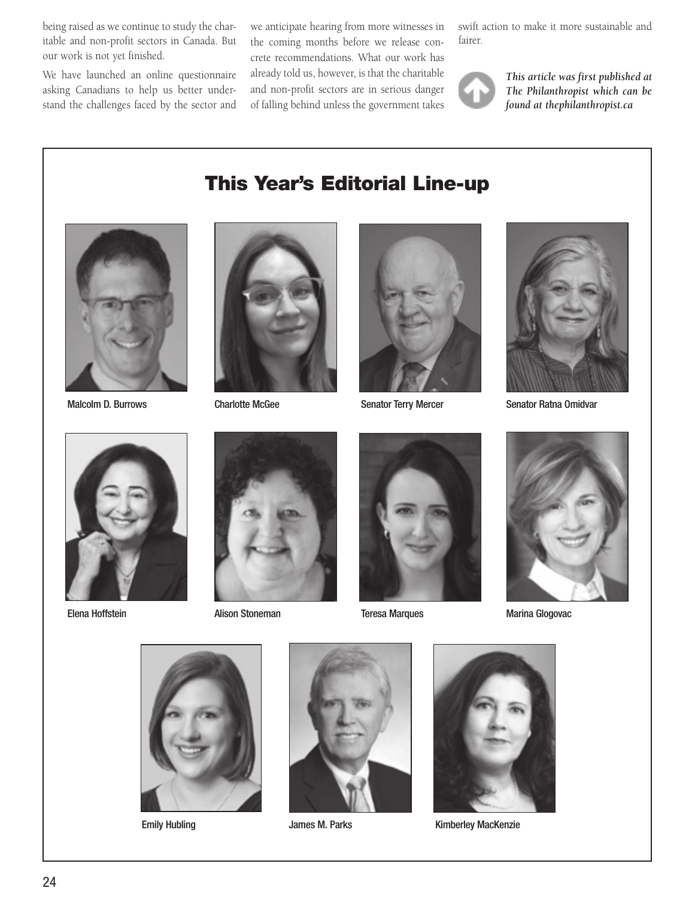being raised as we continue to study the charitable and non-profit sectors in Canada. But our work is not yet finished.

We have launched an online questionnaire asking Canadians to help us better understand the challenges faced by the sector and

we anticipate hearing from more witnesses in the coming months before we release concrete recommendations. What our work has already told us, however, is that the charitable and non-profit sectors are in serious danger of falling behind unless the government takes

swift action to make it more sustainable and fairer.



*This article was first published at The Philanthropist which can be found at thephilanthropist.ca*



Malcolm D. Burrows

#### This Year's Editorial Line-up



Charlotte McGee



Senator Terry Mercer



Senator Ratna Omidvar



 $E$ eria Honstein with a characteristic with a characteristic via characteristic via characteristic via characteristic via characteristic via characteristic via characteristic via characteristic via characteristic via char Elena Hoffstein



Alison Stoneman



Teresa Marques



Marina Glogovac



**Emily Hubling** 



James M. Parks



Kimberley MacKenzie

*Malcolm Burrows*

*Head, Philanthropic Advisory Services*

A Summary of

A Summary of

A Summary of

Tax Considerations

Tax Considerations

**DONATIONS**

**DONATIONS**

Tax Considerations**CHARITABLE**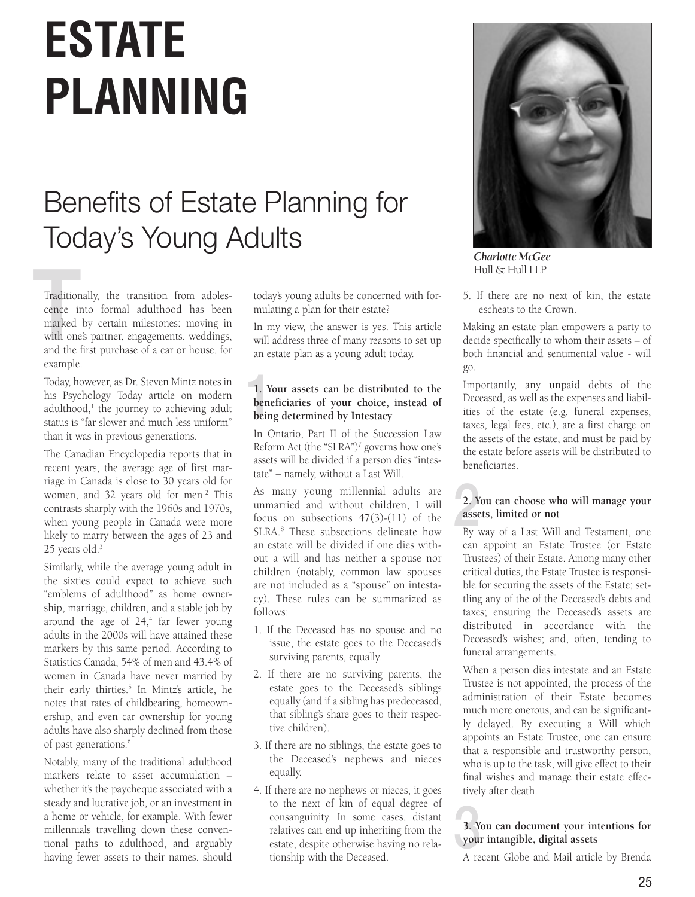## **ESTATE PLANNING**

### Benefits of Estate Planning for Today's Young Adults

Tradition<br>cence in<br>marked<br>with one<br>and the Traditionally, the transition from adolescence into formal adulthood has been marked by certain milestones: moving in with one's partner, engagements, weddings, and the first purchase of a car or house, for example.

Today, however, as Dr. Steven Mintz notes in his Psychology Today article on modern adulthood, $<sup>1</sup>$  the journey to achieving adult</sup> status is "far slower and much less uniform" than it was in previous generations.

The Canadian Encyclopedia reports that in recent years, the average age of first marriage in Canada is close to 30 years old for women, and 32 years old for men.<sup>2</sup> This contrasts sharply with the 1960s and 1970s, when young people in Canada were more likely to marry between the ages of 23 and 25 years old.<sup>3</sup>

Similarly, while the average young adult in the sixties could expect to achieve such "emblems of adulthood" as home ownership, marriage, children, and a stable job by around the age of  $24,4$  far fewer young adults in the 2000s will have attained these markers by this same period. According to Statistics Canada, 54% of men and 43.4% of women in Canada have never married by their early thirties.5 In Mintz's article, he notes that rates of childbearing, homeownership, and even car ownership for young adults have also sharply declined from those of past generations.<sup>6</sup>

Notably, many of the traditional adulthood markers relate to asset accumulation – whether it's the paycheque associated with a steady and lucrative job, or an investment in a home or vehicle, for example. With fewer millennials travelling down these conventional paths to adulthood, and arguably having fewer assets to their names, should

today's young adults be concerned with formulating a plan for their estate?

In my view, the answer is yes. This article will address three of many reasons to set up an estate plan as a young adult today.

#### 1 **1. Your assets can be distributed to the beneficiaries of your choice, instead of being determined by Intestacy**

In Ontario, Part II of the Succession Law Reform Act (the "SLRA")<sup>7</sup> governs how one's assets will be divided if a person dies "intestate" – namely, without a Last Will.

As many young millennial adults are unmarried and without children, I will focus on subsections 47(3)-(11) of the SLRA.8 These subsections delineate how an estate will be divided if one dies without a will and has neither a spouse nor children (notably, common law spouses are not included as a "spouse" on intestacy). These rules can be summarized as follows:

- 1. If the Deceased has no spouse and no issue, the estate goes to the Deceased's surviving parents, equally.
- 2. If there are no surviving parents, the estate goes to the Deceased's siblings equally (and if a sibling has predeceased, that sibling's share goes to their respective children).
- 3. If there are no siblings, the estate goes to the Deceased's nephews and nieces equally.
- 4. If there are no nephews or nieces, it goes to the next of kin of equal degree of consanguinity. In some cases, distant relatives can end up inheriting from the estate, despite otherwise having no relationship with the Deceased.



*Charlotte McGee* Hull & Hull LLP

5. If there are no next of kin, the estate escheats to the Crown.

Making an estate plan empowers a party to decide specifically to whom their assets – of both financial and sentimental value - will go.

Importantly, any unpaid debts of the Deceased, as well as the expenses and liabilities of the estate (e.g. funeral expenses, taxes, legal fees, etc.), are a first charge on the assets of the estate, and must be paid by the estate before assets will be distributed to beneficiaries.

#### $2. Y$ <br>asse **2. You can choose who will manage your assets, limited or not**

By way of a Last Will and Testament, one can appoint an Estate Trustee (or Estate Trustees) of their Estate. Among many other critical duties, the Estate Trustee is responsible for securing the assets of the Estate; settling any of the of the Deceased's debts and taxes; ensuring the Deceased's assets are distributed in accordance with the Deceased's wishes; and, often, tending to funeral arrangements.

When a person dies intestate and an Estate Trustee is not appointed, the process of the administration of their Estate becomes much more onerous, and can be significantly delayed. By executing a Will which appoints an Estate Trustee, one can ensure that a responsible and trustworthy person, who is up to the task, will give effect to their final wishes and manage their estate effectively after death.

#### $\frac{3. \text{Y}}{3. \text{Y}}$ **3. You can document your intentions for your intangible, digital assets**

A recent Globe and Mail article by Brenda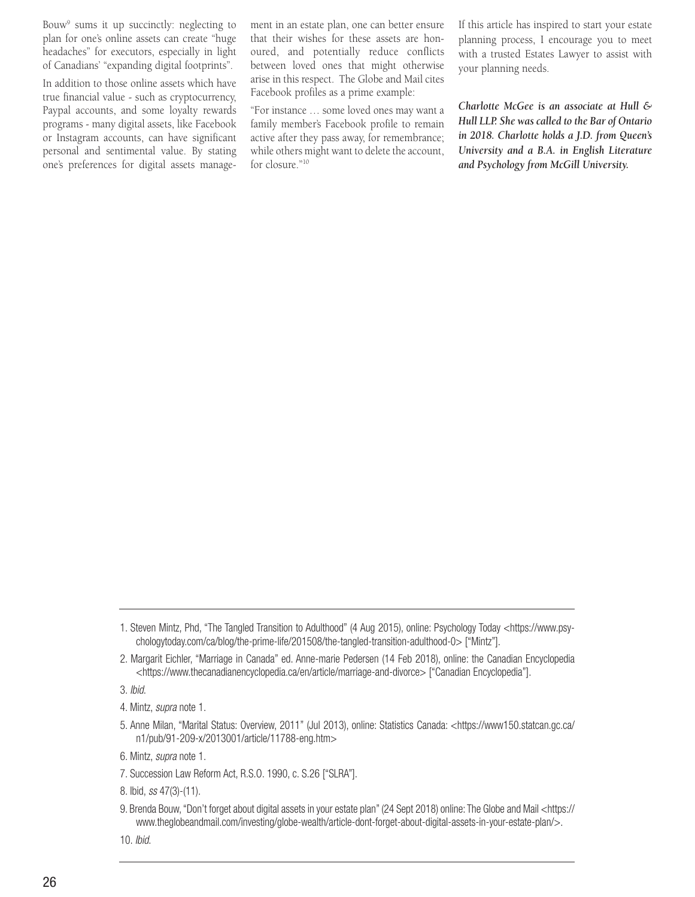Bouw9 sums it up succinctly: neglecting to plan for one's online assets can create "huge headaches" for executors, especially in light of Canadians' "expanding digital footprints".

In addition to those online assets which have true financial value - such as cryptocurrency, Paypal accounts, and some loyalty rewards programs - many digital assets, like Facebook or Instagram accounts, can have significant personal and sentimental value. By stating one's preferences for digital assets management in an estate plan, one can better ensure that their wishes for these assets are honoured, and potentially reduce conflicts between loved ones that might otherwise arise in this respect. The Globe and Mail cites Facebook profiles as a prime example:

"For instance … some loved ones may want a family member's Facebook profile to remain active after they pass away, for remembrance; while others might want to delete the account, for closure."10

If this article has inspired to start your estate planning process, I encourage you to meet with a trusted Estates Lawyer to assist with your planning needs.

*Charlotte McGee is an associate at Hull & Hull LLP. She was called to the Bar of Ontario in 2018. Charlotte holds a J.D. from Queen's University and a B.A. in English Literature and Psychology from McGill University.*

3. *Ibid*.

4. Mintz, *supra* note 1.

6. Mintz, *supra* note 1.

7. Succession Law Reform Act, R.S.O. 1990, c. S.26 ["SLRA"].

8. Ibid, *ss* 47(3)-(11).

9. Brenda Bouw, "Don't forget about digital assets in your estate plan" (24 Sept 2018) online: The Globe and Mail <https:// www.theglobeandmail.com/investing/globe-wealth/article-dont-forget-about-digital-assets-in-your-estate-plan/>.

10. *Ibid*.

<sup>1.</sup> Steven Mintz, Phd, "The Tangled Transition to Adulthood" (4 Aug 2015), online: Psychology Today <https://www.psychologytoday.com/ca/blog/the-prime-life/201508/the-tangled-transition-adulthood-0> ["Mintz"].

<sup>2.</sup> Margarit Eichler, "Marriage in Canada" ed. Anne-marie Pedersen (14 Feb 2018), online: the Canadian Encyclopedia <https://www.thecanadianencyclopedia.ca/en/article/marriage-and-divorce> ["Canadian Encyclopedia"].

<sup>5.</sup> Anne Milan, "Marital Status: Overview, 2011" (Jul 2013), online: Statistics Canada: <https://www150.statcan.gc.ca/ n1/pub/91-209-x/2013001/article/11788-eng.htm>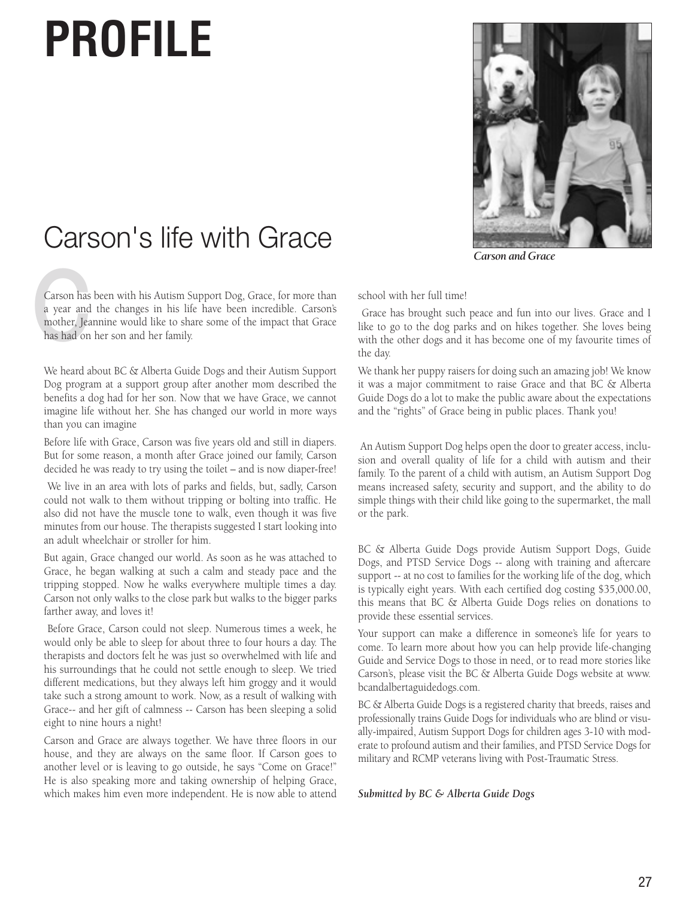## **PROFILE**



*Carson and Grace*

### Carson's life with Grace

Carson has<br>a year and<br>mother, Jea<br>has had on Carson has been with his Autism Support Dog, Grace, for more than a year and the changes in his life have been incredible. Carson's mother, Jeannine would like to share some of the impact that Grace has had on her son and her family.

We heard about BC & Alberta Guide Dogs and their Autism Support Dog program at a support group after another mom described the benefits a dog had for her son. Now that we have Grace, we cannot imagine life without her. She has changed our world in more ways than you can imagine

Before life with Grace, Carson was five years old and still in diapers. But for some reason, a month after Grace joined our family, Carson decided he was ready to try using the toilet – and is now diaper-free!

 We live in an area with lots of parks and fields, but, sadly, Carson could not walk to them without tripping or bolting into traffic. He also did not have the muscle tone to walk, even though it was five minutes from our house. The therapists suggested I start looking into an adult wheelchair or stroller for him.

But again, Grace changed our world. As soon as he was attached to Grace, he began walking at such a calm and steady pace and the tripping stopped. Now he walks everywhere multiple times a day. Carson not only walks to the close park but walks to the bigger parks farther away, and loves it!

 Before Grace, Carson could not sleep. Numerous times a week, he would only be able to sleep for about three to four hours a day. The therapists and doctors felt he was just so overwhelmed with life and his surroundings that he could not settle enough to sleep. We tried different medications, but they always left him groggy and it would take such a strong amount to work. Now, as a result of walking with Grace-- and her gift of calmness -- Carson has been sleeping a solid eight to nine hours a night!

Carson and Grace are always together. We have three floors in our house, and they are always on the same floor. If Carson goes to another level or is leaving to go outside, he says "Come on Grace!" He is also speaking more and taking ownership of helping Grace, which makes him even more independent. He is now able to attend school with her full time!

 Grace has brought such peace and fun into our lives. Grace and I like to go to the dog parks and on hikes together. She loves being with the other dogs and it has become one of my favourite times of the day.

We thank her puppy raisers for doing such an amazing job! We know it was a major commitment to raise Grace and that BC & Alberta Guide Dogs do a lot to make the public aware about the expectations and the "rights" of Grace being in public places. Thank you!

 An Autism Support Dog helps open the door to greater access, inclusion and overall quality of life for a child with autism and their family. To the parent of a child with autism, an Autism Support Dog means increased safety, security and support, and the ability to do simple things with their child like going to the supermarket, the mall or the park.

BC & Alberta Guide Dogs provide Autism Support Dogs, Guide Dogs, and PTSD Service Dogs -- along with training and aftercare support -- at no cost to families for the working life of the dog, which is typically eight years. With each certified dog costing \$35,000.00, this means that BC & Alberta Guide Dogs relies on donations to provide these essential services.

Your support can make a difference in someone's life for years to come. To learn more about how you can help provide life-changing Guide and Service Dogs to those in need, or to read more stories like Carson's, please visit the BC & Alberta Guide Dogs website at www. bcandalbertaguidedogs.com.

BC & Alberta Guide Dogs is a registered charity that breeds, raises and professionally trains Guide Dogs for individuals who are blind or visually-impaired, Autism Support Dogs for children ages 3-10 with moderate to profound autism and their families, and PTSD Service Dogs for military and RCMP veterans living with Post-Traumatic Stress.

*Submitted by BC & Alberta Guide Dogs*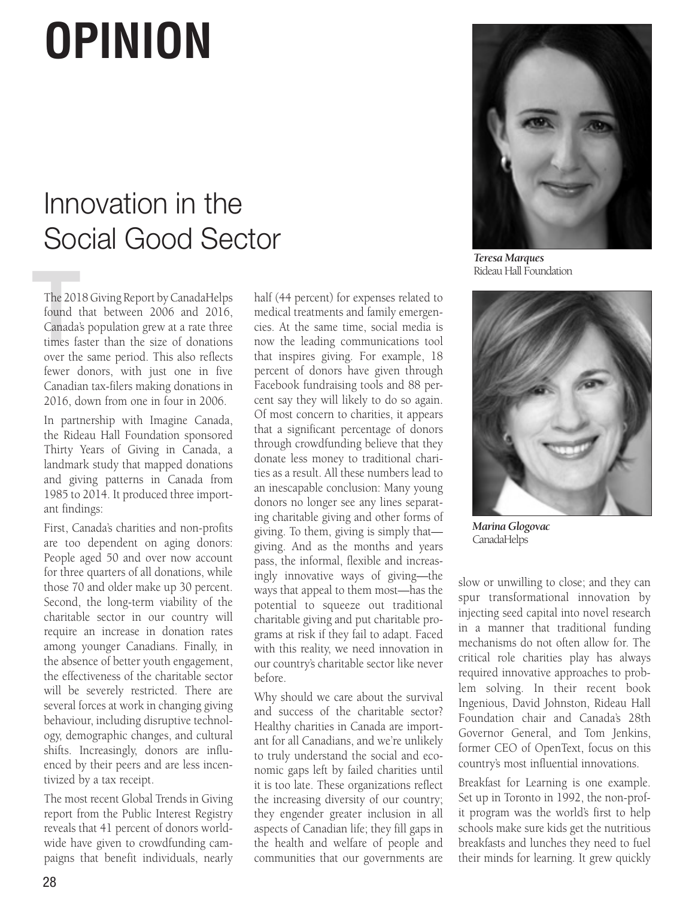## **OPINION**

### Innovation in the Social Good Sector

The 201<br>found 1<br>Canada<sup>3</sup><br>times fa The 2018 Giving Report by CanadaHelps found that between 2006 and 2016, Canada's population grew at a rate three times faster than the size of donations over the same period. This also reflects fewer donors, with just one in five Canadian tax-filers making donations in 2016, down from one in four in 2006.

In partnership with Imagine Canada, the Rideau Hall Foundation sponsored Thirty Years of Giving in Canada, a landmark study that mapped donations and giving patterns in Canada from 1985 to 2014. It produced three important findings:

First, Canada's charities and non-profits are too dependent on aging donors: People aged 50 and over now account for three quarters of all donations, while those 70 and older make up 30 percent. Second, the long-term viability of the charitable sector in our country will require an increase in donation rates among younger Canadians. Finally, in the absence of better youth engagement, the effectiveness of the charitable sector will be severely restricted. There are several forces at work in changing giving behaviour, including disruptive technology, demographic changes, and cultural shifts. Increasingly, donors are influenced by their peers and are less incentivized by a tax receipt.

The most recent Global Trends in Giving report from the Public Interest Registry reveals that 41 percent of donors worldwide have given to crowdfunding campaigns that benefit individuals, nearly half (44 percent) for expenses related to medical treatments and family emergencies. At the same time, social media is now the leading communications tool that inspires giving. For example, 18 percent of donors have given through Facebook fundraising tools and 88 percent say they will likely to do so again. Of most concern to charities, it appears that a significant percentage of donors through crowdfunding believe that they donate less money to traditional charities as a result. All these numbers lead to an inescapable conclusion: Many young donors no longer see any lines separating charitable giving and other forms of giving. To them, giving is simply that giving. And as the months and years pass, the informal, flexible and increasingly innovative ways of giving—the ways that appeal to them most—has the potential to squeeze out traditional charitable giving and put charitable programs at risk if they fail to adapt. Faced with this reality, we need innovation in our country's charitable sector like never before.

Why should we care about the survival and success of the charitable sector? Healthy charities in Canada are important for all Canadians, and we're unlikely to truly understand the social and economic gaps left by failed charities until it is too late. These organizations reflect the increasing diversity of our country; they engender greater inclusion in all aspects of Canadian life; they fill gaps in the health and welfare of people and communities that our governments are



*Teresa Marques* Rideau Hall Foundation



*Marina Glogovac* CanadaHelps

slow or unwilling to close; and they can spur transformational innovation by injecting seed capital into novel research in a manner that traditional funding mechanisms do not often allow for. The critical role charities play has always required innovative approaches to problem solving. In their recent book Ingenious, David Johnston, Rideau Hall Foundation chair and Canada's 28th Governor General, and Tom Jenkins, former CEO of OpenText, focus on this country's most influential innovations.

Breakfast for Learning is one example. Set up in Toronto in 1992, the non-profit program was the world's first to help schools make sure kids get the nutritious breakfasts and lunches they need to fuel their minds for learning. It grew quickly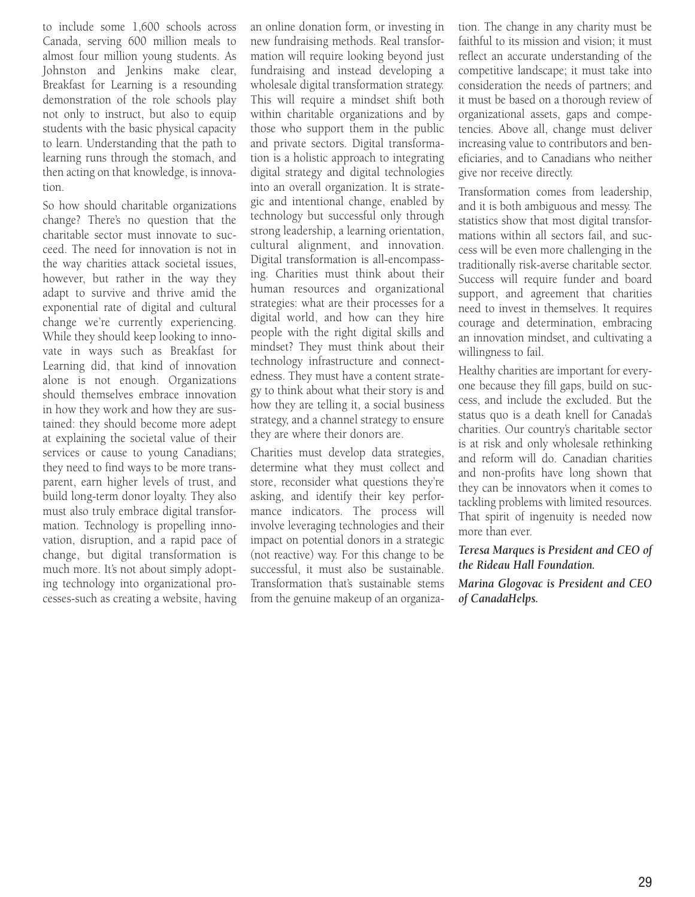to include some 1,600 schools across Canada, serving 600 million meals to almost four million young students. As Johnston and Jenkins make clear, Breakfast for Learning is a resounding demonstration of the role schools play not only to instruct, but also to equip students with the basic physical capacity to learn. Understanding that the path to learning runs through the stomach, and then acting on that knowledge, is innovation.

So how should charitable organizations change? There's no question that the charitable sector must innovate to succeed. The need for innovation is not in the way charities attack societal issues, however, but rather in the way they adapt to survive and thrive amid the exponential rate of digital and cultural change we're currently experiencing. While they should keep looking to innovate in ways such as Breakfast for Learning did, that kind of innovation alone is not enough. Organizations should themselves embrace innovation in how they work and how they are sustained: they should become more adept at explaining the societal value of their services or cause to young Canadians; they need to find ways to be more transparent, earn higher levels of trust, and build long-term donor loyalty. They also must also truly embrace digital transformation. Technology is propelling innovation, disruption, and a rapid pace of change, but digital transformation is much more. It's not about simply adopting technology into organizational processes-such as creating a website, having an online donation form, or investing in new fundraising methods. Real transformation will require looking beyond just fundraising and instead developing a wholesale digital transformation strategy. This will require a mindset shift both within charitable organizations and by those who support them in the public and private sectors. Digital transformation is a holistic approach to integrating digital strategy and digital technologies into an overall organization. It is strategic and intentional change, enabled by technology but successful only through strong leadership, a learning orientation, cultural alignment, and innovation. Digital transformation is all-encompassing. Charities must think about their human resources and organizational strategies: what are their processes for a digital world, and how can they hire people with the right digital skills and mindset? They must think about their technology infrastructure and connectedness. They must have a content strategy to think about what their story is and how they are telling it, a social business strategy, and a channel strategy to ensure they are where their donors are.

Charities must develop data strategies, determine what they must collect and store, reconsider what questions they're asking, and identify their key performance indicators. The process will involve leveraging technologies and their impact on potential donors in a strategic (not reactive) way. For this change to be successful, it must also be sustainable. Transformation that's sustainable stems from the genuine makeup of an organiza-

tion. The change in any charity must be faithful to its mission and vision; it must reflect an accurate understanding of the competitive landscape; it must take into consideration the needs of partners; and it must be based on a thorough review of organizational assets, gaps and competencies. Above all, change must deliver increasing value to contributors and beneficiaries, and to Canadians who neither give nor receive directly.

Transformation comes from leadership, and it is both ambiguous and messy. The statistics show that most digital transformations within all sectors fail, and success will be even more challenging in the traditionally risk-averse charitable sector. Success will require funder and board support, and agreement that charities need to invest in themselves. It requires courage and determination, embracing an innovation mindset, and cultivating a willingness to fail.

Healthy charities are important for everyone because they fill gaps, build on success, and include the excluded. But the status quo is a death knell for Canada's charities. Our country's charitable sector is at risk and only wholesale rethinking and reform will do. Canadian charities and non-profits have long shown that they can be innovators when it comes to tackling problems with limited resources. That spirit of ingenuity is needed now more than ever.

#### *Teresa Marques is President and CEO of the Rideau Hall Foundation.*

*Marina Glogovac is President and CEO of CanadaHelps.*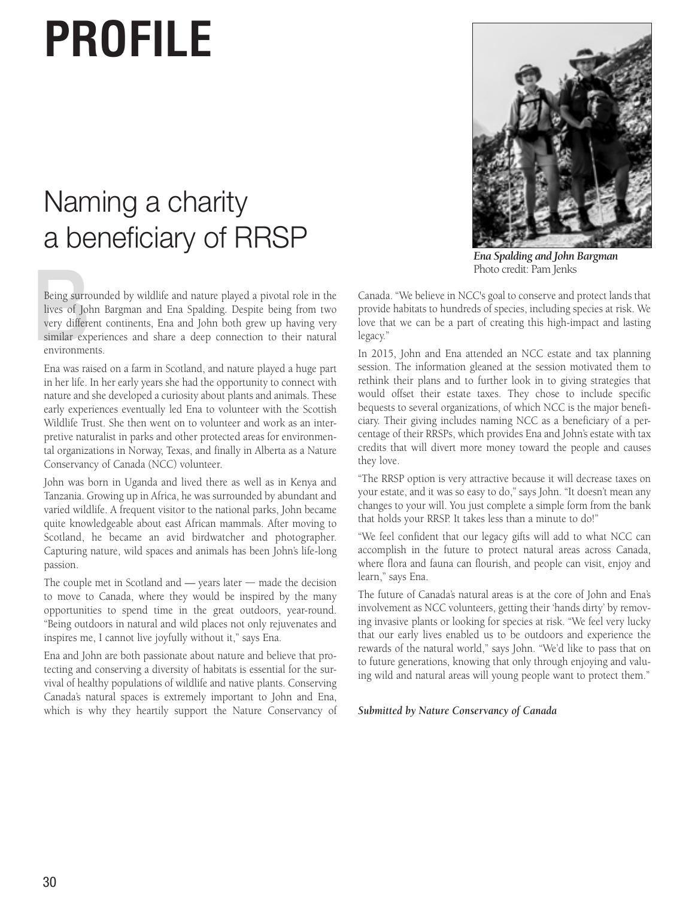## **PROFILE**

### Naming a charity a beneficiary of RRSP

Being surre<br>lives of Jol<br>very differe<br>similar exp<br>environme Being surrounded by wildlife and nature played a pivotal role in the lives of John Bargman and Ena Spalding. Despite being from two very different continents, Ena and John both grew up having very similar experiences and share a deep connection to their natural environments.

Ena was raised on a farm in Scotland, and nature played a huge part in her life. In her early years she had the opportunity to connect with nature and she developed a curiosity about plants and animals. These early experiences eventually led Ena to volunteer with the Scottish Wildlife Trust. She then went on to volunteer and work as an interpretive naturalist in parks and other protected areas for environmental organizations in Norway, Texas, and finally in Alberta as a Nature Conservancy of Canada (NCC) volunteer.

John was born in Uganda and lived there as well as in Kenya and Tanzania. Growing up in Africa, he was surrounded by abundant and varied wildlife. A frequent visitor to the national parks, John became quite knowledgeable about east African mammals. After moving to Scotland, he became an avid birdwatcher and photographer. Capturing nature, wild spaces and animals has been John's life-long passion.

The couple met in Scotland and — years later — made the decision to move to Canada, where they would be inspired by the many opportunities to spend time in the great outdoors, year-round. "Being outdoors in natural and wild places not only rejuvenates and inspires me, I cannot live joyfully without it," says Ena.

Ena and John are both passionate about nature and believe that protecting and conserving a diversity of habitats is essential for the survival of healthy populations of wildlife and native plants. Conserving Canada's natural spaces is extremely important to John and Ena, which is why they heartily support the Nature Conservancy of



*Ena Spalding and John Bargman* Photo credit: Pam Jenks

Canada. "We believe in NCC's goal to conserve and protect lands that provide habitats to hundreds of species, including species at risk. We love that we can be a part of creating this high-impact and lasting legacy."

In 2015, John and Ena attended an NCC estate and tax planning session. The information gleaned at the session motivated them to rethink their plans and to further look in to giving strategies that would offset their estate taxes. They chose to include specific bequests to several organizations, of which NCC is the major beneficiary. Their giving includes naming NCC as a beneficiary of a percentage of their RRSPs, which provides Ena and John's estate with tax credits that will divert more money toward the people and causes they love.

"The RRSP option is very attractive because it will decrease taxes on your estate, and it was so easy to do," says John. "It doesn't mean any changes to your will. You just complete a simple form from the bank that holds your RRSP. It takes less than a minute to do!"

"We feel confident that our legacy gifts will add to what NCC can accomplish in the future to protect natural areas across Canada, where flora and fauna can flourish, and people can visit, enjoy and learn," says Ena.

The future of Canada's natural areas is at the core of John and Ena's involvement as NCC volunteers, getting their 'hands dirty' by removing invasive plants or looking for species at risk. "We feel very lucky that our early lives enabled us to be outdoors and experience the rewards of the natural world," says John. "We'd like to pass that on to future generations, knowing that only through enjoying and valuing wild and natural areas will young people want to protect them."

#### *Submitted by Nature Conservancy of Canada*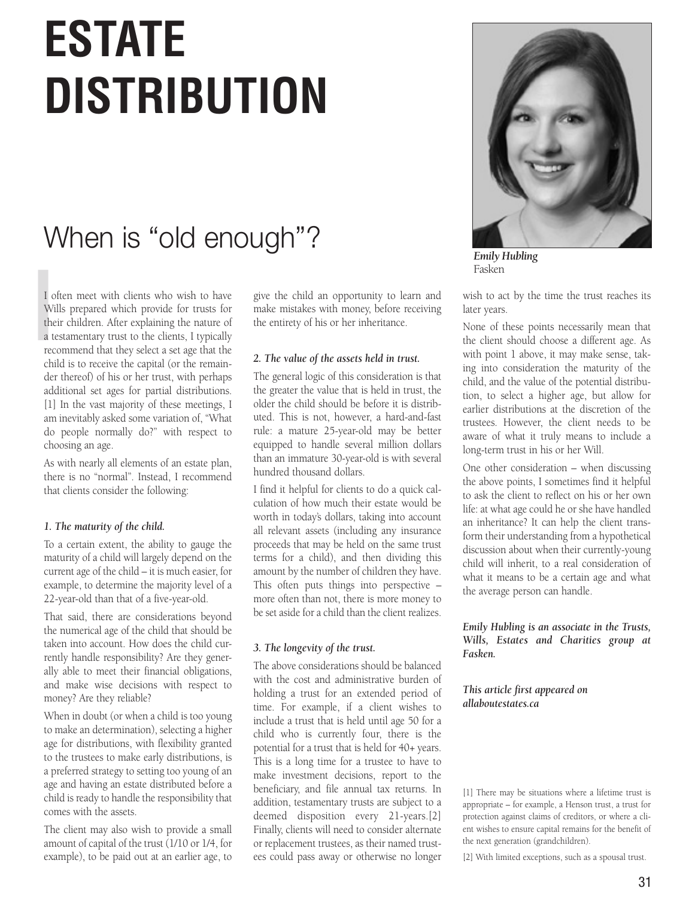## **ESTATE DISTRIBUTION**

### When is "old enough"?

I c<br>Wi<br>the<br>a t<br>rec I often meet with clients who wish to have Wills prepared which provide for trusts for their children. After explaining the nature of a testamentary trust to the clients, I typically recommend that they select a set age that the child is to receive the capital (or the remainder thereof) of his or her trust, with perhaps additional set ages for partial distributions. [1] In the vast majority of these meetings, I am inevitably asked some variation of, "What do people normally do?" with respect to choosing an age.

As with nearly all elements of an estate plan, there is no "normal". Instead, I recommend that clients consider the following:

#### *1. The maturity of the child.*

To a certain extent, the ability to gauge the maturity of a child will largely depend on the current age of the child – it is much easier, for example, to determine the majority level of a 22-year-old than that of a five-year-old.

That said, there are considerations beyond the numerical age of the child that should be taken into account. How does the child currently handle responsibility? Are they generally able to meet their financial obligations, and make wise decisions with respect to money? Are they reliable?

When in doubt (or when a child is too young to make an determination), selecting a higher age for distributions, with flexibility granted to the trustees to make early distributions, is a preferred strategy to setting too young of an age and having an estate distributed before a child is ready to handle the responsibility that comes with the assets.

The client may also wish to provide a small amount of capital of the trust (1/10 or 1/4, for example), to be paid out at an earlier age, to

give the child an opportunity to learn and make mistakes with money, before receiving the entirety of his or her inheritance.

#### *2. The value of the assets held in trust.*

The general logic of this consideration is that the greater the value that is held in trust, the older the child should be before it is distributed. This is not, however, a hard-and-fast rule: a mature 25-year-old may be better equipped to handle several million dollars than an immature 30-year-old is with several hundred thousand dollars.

I find it helpful for clients to do a quick calculation of how much their estate would be worth in today's dollars, taking into account all relevant assets (including any insurance proceeds that may be held on the same trust terms for a child), and then dividing this amount by the number of children they have. This often puts things into perspective – more often than not, there is more money to be set aside for a child than the client realizes.

#### *3. The longevity of the trust.*

The above considerations should be balanced with the cost and administrative burden of holding a trust for an extended period of time. For example, if a client wishes to include a trust that is held until age 50 for a child who is currently four, there is the potential for a trust that is held for 40+ years. This is a long time for a trustee to have to make investment decisions, report to the beneficiary, and file annual tax returns. In addition, testamentary trusts are subject to a deemed disposition every 21-years.[2] Finally, clients will need to consider alternate or replacement trustees, as their named trustees could pass away or otherwise no longer



*Emily Hubling* Fasken

wish to act by the time the trust reaches its later years.

None of these points necessarily mean that the client should choose a different age. As with point 1 above, it may make sense, taking into consideration the maturity of the child, and the value of the potential distribution, to select a higher age, but allow for earlier distributions at the discretion of the trustees. However, the client needs to be aware of what it truly means to include a long-term trust in his or her Will.

One other consideration – when discussing the above points, I sometimes find it helpful to ask the client to reflect on his or her own life: at what age could he or she have handled an inheritance? It can help the client transform their understanding from a hypothetical discussion about when their currently-young child will inherit, to a real consideration of what it means to be a certain age and what the average person can handle.

*Emily Hubling is an associate in the Trusts, Wills, Estates and Charities group at Fasken.* 

*This article first appeared on allaboutestates.ca* 

[1] There may be situations where a lifetime trust is appropriate – for example, a Henson trust, a trust for protection against claims of creditors, or where a client wishes to ensure capital remains for the benefit of the next generation (grandchildren).

[2] With limited exceptions, such as a spousal trust.